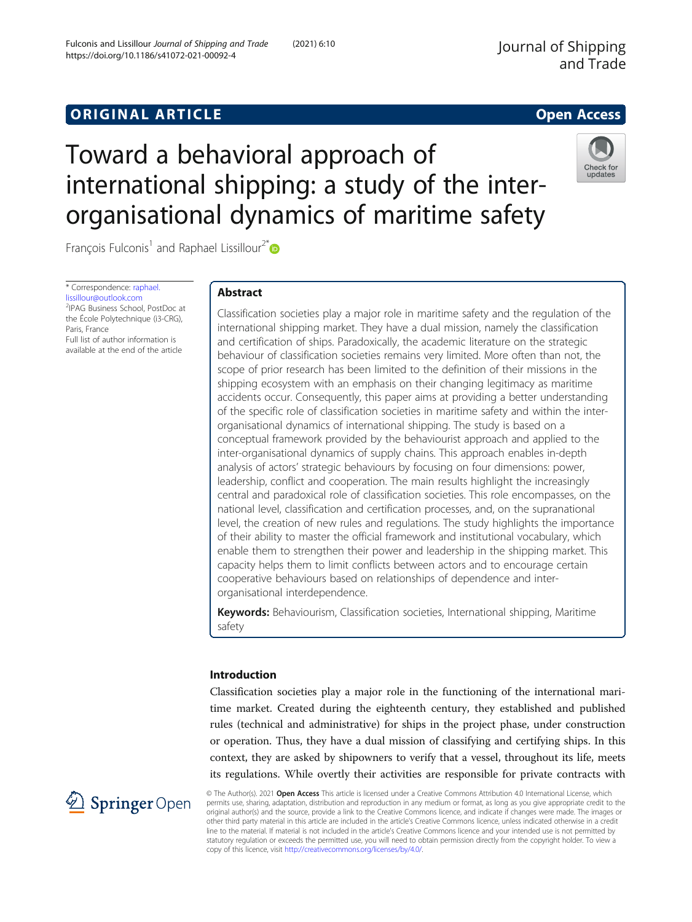# **ORIGINAL ARTICLE CONSUMING A LIGACION** CONSUMING A LIGACION CONSUMING A LIGACION CONSUMING A LIGACION CONSUMING A LIGACION CONSUMING A LIGACION CONSUMING A LIGACION CONSUMING A LIGACION CONSUMING A LIGACION CONSUMING A

# Toward a behavioral approach of international shipping: a study of the interorganisational dynamics of maritime safety

François Fulconis<sup>1</sup> and Raphael Lissillour<sup>2\*</sup>

\* Correspondence: [raphael.](mailto:raphael.lissillour@outlook.com) [lissillour@outlook.com](mailto:raphael.lissillour@outlook.com) 2 IPAG Business School, PostDoc at the École Polytechnique (i3-CRG),

Paris, France Full list of author information is available at the end of the article

2 Springer Open

# Abstract

Classification societies play a major role in maritime safety and the regulation of the international shipping market. They have a dual mission, namely the classification and certification of ships. Paradoxically, the academic literature on the strategic behaviour of classification societies remains very limited. More often than not, the scope of prior research has been limited to the definition of their missions in the shipping ecosystem with an emphasis on their changing legitimacy as maritime accidents occur. Consequently, this paper aims at providing a better understanding of the specific role of classification societies in maritime safety and within the interorganisational dynamics of international shipping. The study is based on a conceptual framework provided by the behaviourist approach and applied to the inter-organisational dynamics of supply chains. This approach enables in-depth analysis of actors' strategic behaviours by focusing on four dimensions: power, leadership, conflict and cooperation. The main results highlight the increasingly central and paradoxical role of classification societies. This role encompasses, on the national level, classification and certification processes, and, on the supranational level, the creation of new rules and regulations. The study highlights the importance of their ability to master the official framework and institutional vocabulary, which enable them to strengthen their power and leadership in the shipping market. This capacity helps them to limit conflicts between actors and to encourage certain cooperative behaviours based on relationships of dependence and interorganisational interdependence.

Keywords: Behaviourism, Classification societies, International shipping, Maritime safety

# Introduction

Classification societies play a major role in the functioning of the international maritime market. Created during the eighteenth century, they established and published rules (technical and administrative) for ships in the project phase, under construction or operation. Thus, they have a dual mission of classifying and certifying ships. In this context, they are asked by shipowners to verify that a vessel, throughout its life, meets its regulations. While overtly their activities are responsible for private contracts with

© The Author(s). 2021 Open Access This article is licensed under a Creative Commons Attribution 4.0 International License, which permits use, sharing, adaptation, distribution and reproduction in any medium or format, as long as you give appropriate credit to the original author(s) and the source, provide a link to the Creative Commons licence, and indicate if changes were made. The images or other third party material in this article are included in the article's Creative Commons licence, unless indicated otherwise in a credit line to the material. If material is not included in the article's Creative Commons licence and your intended use is not permitted by statutory regulation or exceeds the permitted use, you will need to obtain permission directly from the copyright holder. To view a copy of this licence, visit <http://creativecommons.org/licenses/by/4.0/>.



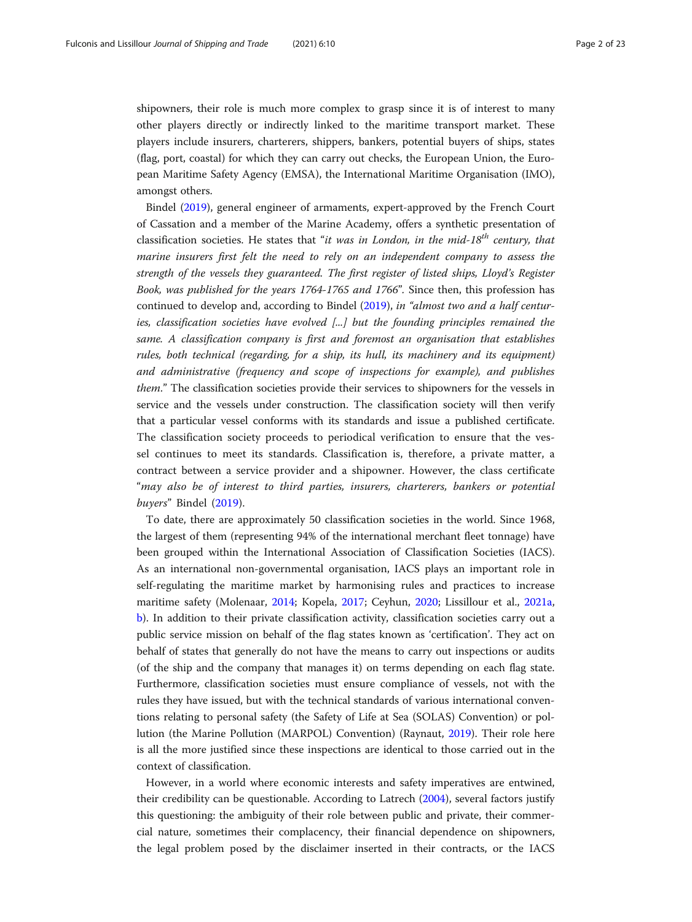shipowners, their role is much more complex to grasp since it is of interest to many other players directly or indirectly linked to the maritime transport market. These players include insurers, charterers, shippers, bankers, potential buyers of ships, states (flag, port, coastal) for which they can carry out checks, the European Union, the European Maritime Safety Agency (EMSA), the International Maritime Organisation (IMO), amongst others.

Bindel [\(2019](#page-20-0)), general engineer of armaments, expert-approved by the French Court of Cassation and a member of the Marine Academy, offers a synthetic presentation of classification societies. He states that "it was in London, in the mid-18<sup>th</sup> century, that marine insurers first felt the need to rely on an independent company to assess the strength of the vessels they guaranteed. The first register of listed ships, Lloyd's Register Book, was published for the years 1764-1765 and 1766". Since then, this profession has continued to develop and, according to Bindel [\(2019\)](#page-20-0), in "almost two and a half centuries, classification societies have evolved [...] but the founding principles remained the same. A classification company is first and foremost an organisation that establishes rules, both technical (regarding, for a ship, its hull, its machinery and its equipment) and administrative (frequency and scope of inspections for example), and publishes them." The classification societies provide their services to shipowners for the vessels in service and the vessels under construction. The classification society will then verify that a particular vessel conforms with its standards and issue a published certificate. The classification society proceeds to periodical verification to ensure that the vessel continues to meet its standards. Classification is, therefore, a private matter, a contract between a service provider and a shipowner. However, the class certificate "may also be of interest to third parties, insurers, charterers, bankers or potential buyers" Bindel [\(2019](#page-20-0)).

To date, there are approximately 50 classification societies in the world. Since 1968, the largest of them (representing 94% of the international merchant fleet tonnage) have been grouped within the International Association of Classification Societies (IACS). As an international non-governmental organisation, IACS plays an important role in self-regulating the maritime market by harmonising rules and practices to increase maritime safety (Molenaar, [2014;](#page-22-0) Kopela, [2017;](#page-21-0) Ceyhun, [2020](#page-21-0); Lissillour et al., [2021a](#page-22-0), [b\)](#page-22-0). In addition to their private classification activity, classification societies carry out a public service mission on behalf of the flag states known as 'certification'. They act on behalf of states that generally do not have the means to carry out inspections or audits (of the ship and the company that manages it) on terms depending on each flag state. Furthermore, classification societies must ensure compliance of vessels, not with the rules they have issued, but with the technical standards of various international conventions relating to personal safety (the Safety of Life at Sea (SOLAS) Convention) or pollution (the Marine Pollution (MARPOL) Convention) (Raynaut, [2019\)](#page-22-0). Their role here is all the more justified since these inspections are identical to those carried out in the context of classification.

However, in a world where economic interests and safety imperatives are entwined, their credibility can be questionable. According to Latrech ([2004](#page-22-0)), several factors justify this questioning: the ambiguity of their role between public and private, their commercial nature, sometimes their complacency, their financial dependence on shipowners, the legal problem posed by the disclaimer inserted in their contracts, or the IACS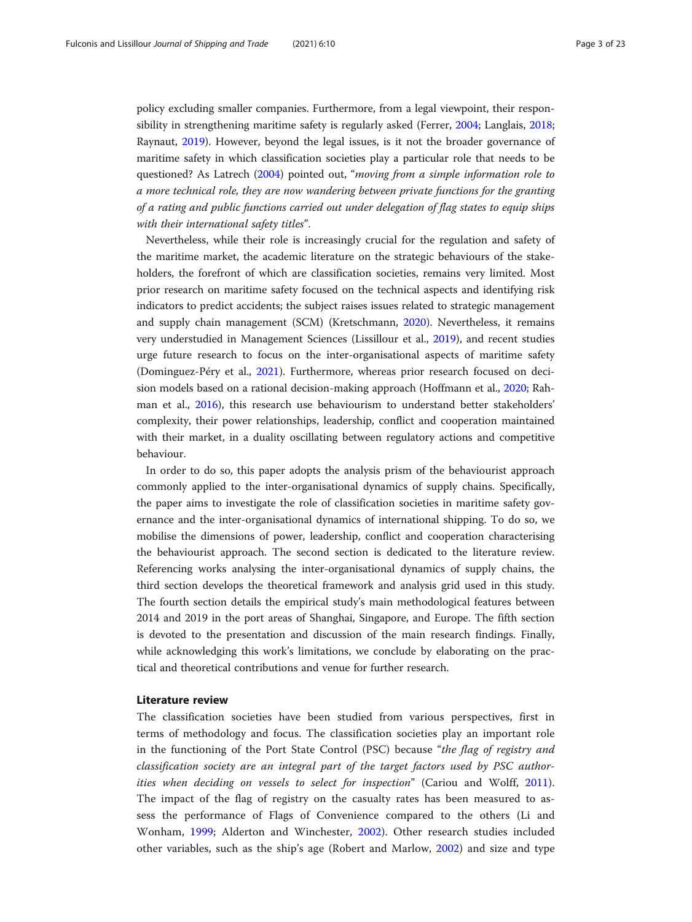policy excluding smaller companies. Furthermore, from a legal viewpoint, their responsibility in strengthening maritime safety is regularly asked (Ferrer, [2004;](#page-21-0) Langlais, [2018](#page-22-0); Raynaut, [2019](#page-22-0)). However, beyond the legal issues, is it not the broader governance of maritime safety in which classification societies play a particular role that needs to be questioned? As Latrech ([2004](#page-22-0)) pointed out, "moving from a simple information role to a more technical role, they are now wandering between private functions for the granting of a rating and public functions carried out under delegation of flag states to equip ships with their international safety titles".

Nevertheless, while their role is increasingly crucial for the regulation and safety of the maritime market, the academic literature on the strategic behaviours of the stakeholders, the forefront of which are classification societies, remains very limited. Most prior research on maritime safety focused on the technical aspects and identifying risk indicators to predict accidents; the subject raises issues related to strategic management and supply chain management (SCM) (Kretschmann, [2020\)](#page-22-0). Nevertheless, it remains very understudied in Management Sciences (Lissillour et al., [2019\)](#page-22-0), and recent studies urge future research to focus on the inter-organisational aspects of maritime safety (Dominguez-Péry et al., [2021](#page-21-0)). Furthermore, whereas prior research focused on decision models based on a rational decision-making approach (Hoffmann et al., [2020](#page-21-0); Rahman et al., [2016\)](#page-22-0), this research use behaviourism to understand better stakeholders' complexity, their power relationships, leadership, conflict and cooperation maintained with their market, in a duality oscillating between regulatory actions and competitive behaviour.

In order to do so, this paper adopts the analysis prism of the behaviourist approach commonly applied to the inter-organisational dynamics of supply chains. Specifically, the paper aims to investigate the role of classification societies in maritime safety governance and the inter-organisational dynamics of international shipping. To do so, we mobilise the dimensions of power, leadership, conflict and cooperation characterising the behaviourist approach. The second section is dedicated to the literature review. Referencing works analysing the inter-organisational dynamics of supply chains, the third section develops the theoretical framework and analysis grid used in this study. The fourth section details the empirical study's main methodological features between 2014 and 2019 in the port areas of Shanghai, Singapore, and Europe. The fifth section is devoted to the presentation and discussion of the main research findings. Finally, while acknowledging this work's limitations, we conclude by elaborating on the practical and theoretical contributions and venue for further research.

# Literature review

The classification societies have been studied from various perspectives, first in terms of methodology and focus. The classification societies play an important role in the functioning of the Port State Control (PSC) because "the flag of registry and classification society are an integral part of the target factors used by PSC authorities when deciding on vessels to select for inspection" (Cariou and Wolff, [2011](#page-20-0)). The impact of the flag of registry on the casualty rates has been measured to assess the performance of Flags of Convenience compared to the others (Li and Wonham, [1999;](#page-22-0) Alderton and Winchester, [2002](#page-20-0)). Other research studies included other variables, such as the ship's age (Robert and Marlow, [2002](#page-22-0)) and size and type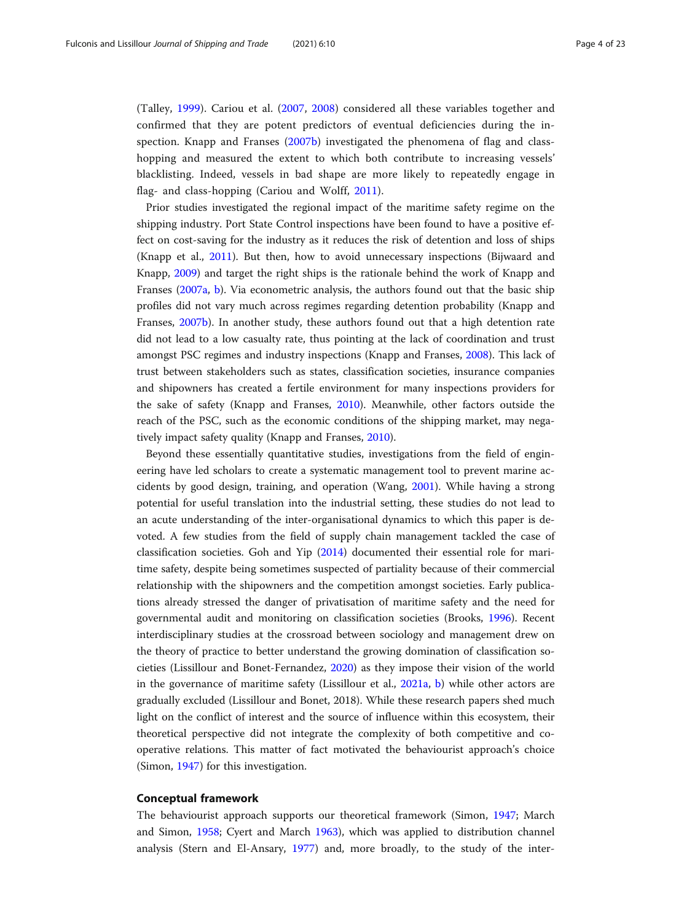(Talley, [1999](#page-22-0)). Cariou et al. [\(2007](#page-20-0), [2008](#page-20-0)) considered all these variables together and confirmed that they are potent predictors of eventual deficiencies during the inspection. Knapp and Franses ([2007b](#page-21-0)) investigated the phenomena of flag and classhopping and measured the extent to which both contribute to increasing vessels' blacklisting. Indeed, vessels in bad shape are more likely to repeatedly engage in flag- and class-hopping (Cariou and Wolff, [2011](#page-20-0)).

Prior studies investigated the regional impact of the maritime safety regime on the shipping industry. Port State Control inspections have been found to have a positive effect on cost-saving for the industry as it reduces the risk of detention and loss of ships (Knapp et al., [2011\)](#page-21-0). But then, how to avoid unnecessary inspections (Bijwaard and Knapp, [2009\)](#page-20-0) and target the right ships is the rationale behind the work of Knapp and Franses ([2007a,](#page-21-0) [b\)](#page-21-0). Via econometric analysis, the authors found out that the basic ship profiles did not vary much across regimes regarding detention probability (Knapp and Franses, [2007b](#page-21-0)). In another study, these authors found out that a high detention rate did not lead to a low casualty rate, thus pointing at the lack of coordination and trust amongst PSC regimes and industry inspections (Knapp and Franses, [2008\)](#page-21-0). This lack of trust between stakeholders such as states, classification societies, insurance companies and shipowners has created a fertile environment for many inspections providers for the sake of safety (Knapp and Franses, [2010\)](#page-21-0). Meanwhile, other factors outside the reach of the PSC, such as the economic conditions of the shipping market, may negatively impact safety quality (Knapp and Franses, [2010\)](#page-21-0).

Beyond these essentially quantitative studies, investigations from the field of engineering have led scholars to create a systematic management tool to prevent marine accidents by good design, training, and operation (Wang, [2001](#page-22-0)). While having a strong potential for useful translation into the industrial setting, these studies do not lead to an acute understanding of the inter-organisational dynamics to which this paper is devoted. A few studies from the field of supply chain management tackled the case of classification societies. Goh and Yip [\(2014\)](#page-21-0) documented their essential role for maritime safety, despite being sometimes suspected of partiality because of their commercial relationship with the shipowners and the competition amongst societies. Early publications already stressed the danger of privatisation of maritime safety and the need for governmental audit and monitoring on classification societies (Brooks, [1996](#page-20-0)). Recent interdisciplinary studies at the crossroad between sociology and management drew on the theory of practice to better understand the growing domination of classification societies (Lissillour and Bonet-Fernandez, [2020](#page-22-0)) as they impose their vision of the world in the governance of maritime safety (Lissillour et al., [2021a,](#page-22-0) [b\)](#page-22-0) while other actors are gradually excluded (Lissillour and Bonet, 2018). While these research papers shed much light on the conflict of interest and the source of influence within this ecosystem, their theoretical perspective did not integrate the complexity of both competitive and cooperative relations. This matter of fact motivated the behaviourist approach's choice (Simon, [1947\)](#page-22-0) for this investigation.

# Conceptual framework

The behaviourist approach supports our theoretical framework (Simon, [1947](#page-22-0); March and Simon, [1958;](#page-22-0) Cyert and March [1963](#page-21-0)), which was applied to distribution channel analysis (Stern and El-Ansary, [1977](#page-22-0)) and, more broadly, to the study of the inter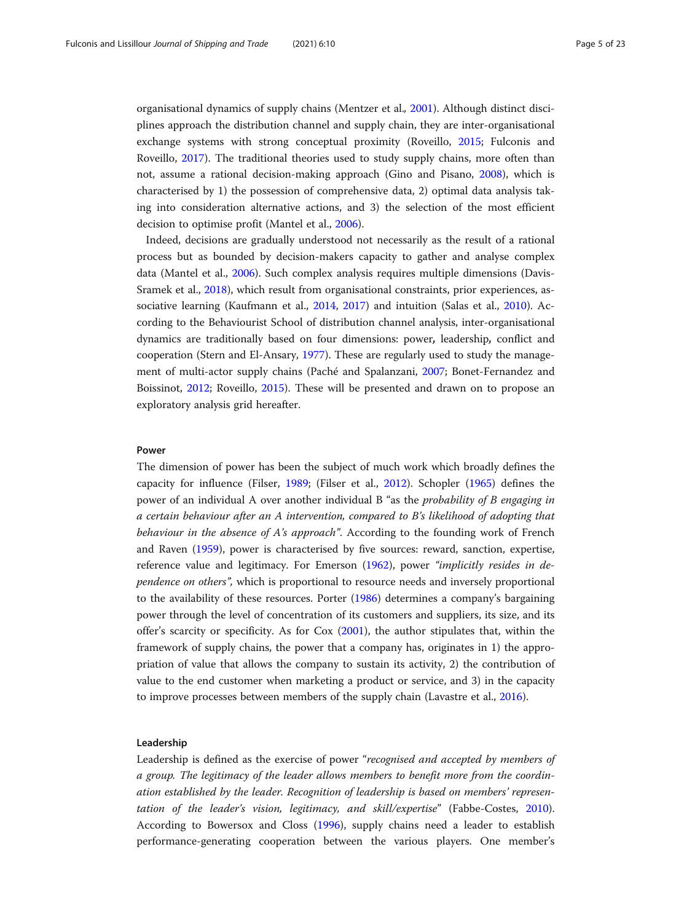organisational dynamics of supply chains (Mentzer et al., [2001\)](#page-22-0). Although distinct disciplines approach the distribution channel and supply chain, they are inter-organisational exchange systems with strong conceptual proximity (Roveillo, [2015](#page-22-0); Fulconis and Roveillo, [2017](#page-21-0)). The traditional theories used to study supply chains, more often than not, assume a rational decision-making approach (Gino and Pisano, [2008](#page-21-0)), which is characterised by 1) the possession of comprehensive data, 2) optimal data analysis taking into consideration alternative actions, and 3) the selection of the most efficient decision to optimise profit (Mantel et al., [2006](#page-22-0)).

Indeed, decisions are gradually understood not necessarily as the result of a rational process but as bounded by decision-makers capacity to gather and analyse complex data (Mantel et al., [2006](#page-22-0)). Such complex analysis requires multiple dimensions (Davis-Sramek et al., [2018\)](#page-21-0), which result from organisational constraints, prior experiences, associative learning (Kaufmann et al., [2014](#page-21-0), [2017\)](#page-21-0) and intuition (Salas et al., [2010](#page-22-0)). According to the Behaviourist School of distribution channel analysis, inter-organisational dynamics are traditionally based on four dimensions: power, leadership, conflict and cooperation (Stern and El-Ansary, [1977\)](#page-22-0). These are regularly used to study the management of multi-actor supply chains (Paché and Spalanzani, [2007](#page-22-0); Bonet-Fernandez and Boissinot, [2012;](#page-20-0) Roveillo, [2015\)](#page-22-0). These will be presented and drawn on to propose an exploratory analysis grid hereafter.

#### Power

The dimension of power has been the subject of much work which broadly defines the capacity for influence (Filser, [1989](#page-21-0); (Filser et al., [2012](#page-21-0)). Schopler ([1965](#page-22-0)) defines the power of an individual A over another individual B "as the probability of B engaging in a certain behaviour after an A intervention, compared to B's likelihood of adopting that behaviour in the absence of A's approach". According to the founding work of French and Raven ([1959](#page-21-0)), power is characterised by five sources: reward, sanction, expertise, reference value and legitimacy. For Emerson [\(1962\)](#page-21-0), power "implicitly resides in dependence on others", which is proportional to resource needs and inversely proportional to the availability of these resources. Porter [\(1986\)](#page-22-0) determines a company's bargaining power through the level of concentration of its customers and suppliers, its size, and its offer's scarcity or specificity. As for Cox ([2001\)](#page-21-0), the author stipulates that, within the framework of supply chains, the power that a company has, originates in 1) the appropriation of value that allows the company to sustain its activity, 2) the contribution of value to the end customer when marketing a product or service, and 3) in the capacity to improve processes between members of the supply chain (Lavastre et al., [2016\)](#page-22-0).

# Leadership

Leadership is defined as the exercise of power "recognised and accepted by members of a group. The legitimacy of the leader allows members to benefit more from the coordination established by the leader. Recognition of leadership is based on members' representation of the leader's vision, legitimacy, and skill/expertise" (Fabbe-Costes, [2010](#page-21-0)). According to Bowersox and Closs [\(1996\)](#page-20-0), supply chains need a leader to establish performance-generating cooperation between the various players. One member's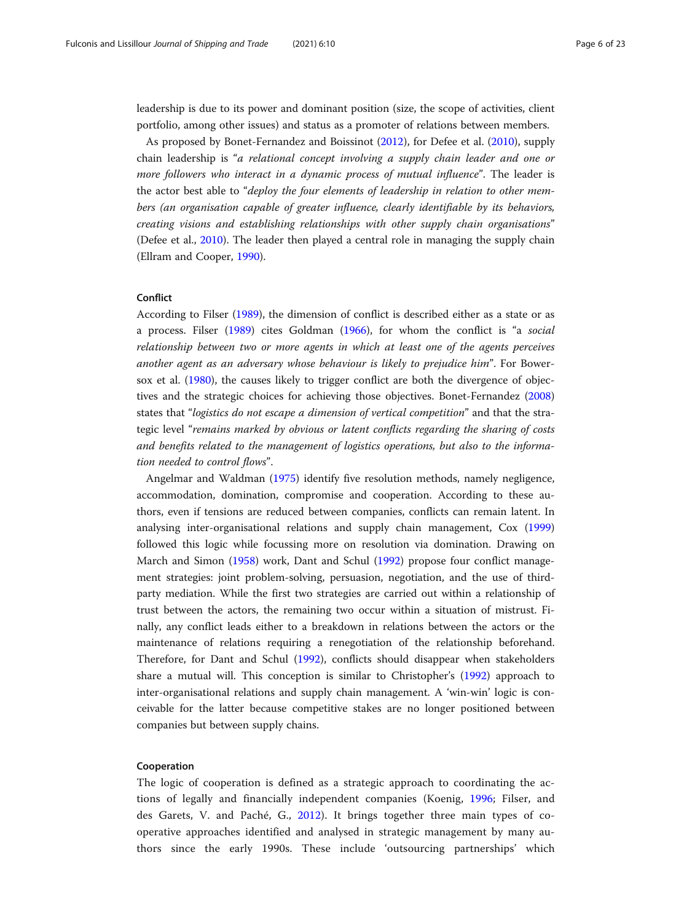leadership is due to its power and dominant position (size, the scope of activities, client portfolio, among other issues) and status as a promoter of relations between members.

As proposed by Bonet-Fernandez and Boissinot ([2012](#page-20-0)), for Defee et al. [\(2010\)](#page-21-0), supply chain leadership is "a relational concept involving a supply chain leader and one or more followers who interact in a dynamic process of mutual influence". The leader is the actor best able to "deploy the four elements of leadership in relation to other members (an organisation capable of greater influence, clearly identifiable by its behaviors, creating visions and establishing relationships with other supply chain organisations" (Defee et al., [2010\)](#page-21-0). The leader then played a central role in managing the supply chain (Ellram and Cooper, [1990](#page-21-0)).

# Conflict

According to Filser [\(1989\)](#page-21-0), the dimension of conflict is described either as a state or as a process. Filser ([1989](#page-21-0)) cites Goldman ([1966](#page-21-0)), for whom the conflict is "a social relationship between two or more agents in which at least one of the agents perceives another agent as an adversary whose behaviour is likely to prejudice him". For Bowersox et al. [\(1980\)](#page-20-0), the causes likely to trigger conflict are both the divergence of objectives and the strategic choices for achieving those objectives. Bonet-Fernandez ([2008](#page-20-0)) states that "logistics do not escape a dimension of vertical competition" and that the strategic level "remains marked by obvious or latent conflicts regarding the sharing of costs and benefits related to the management of logistics operations, but also to the information needed to control flows".

Angelmar and Waldman [\(1975\)](#page-20-0) identify five resolution methods, namely negligence, accommodation, domination, compromise and cooperation. According to these authors, even if tensions are reduced between companies, conflicts can remain latent. In analysing inter-organisational relations and supply chain management, Cox ([1999](#page-21-0)) followed this logic while focussing more on resolution via domination. Drawing on March and Simon [\(1958\)](#page-22-0) work, Dant and Schul [\(1992\)](#page-21-0) propose four conflict management strategies: joint problem-solving, persuasion, negotiation, and the use of thirdparty mediation. While the first two strategies are carried out within a relationship of trust between the actors, the remaining two occur within a situation of mistrust. Finally, any conflict leads either to a breakdown in relations between the actors or the maintenance of relations requiring a renegotiation of the relationship beforehand. Therefore, for Dant and Schul [\(1992\)](#page-21-0), conflicts should disappear when stakeholders share a mutual will. This conception is similar to Christopher's [\(1992](#page-21-0)) approach to inter-organisational relations and supply chain management. A 'win-win' logic is conceivable for the latter because competitive stakes are no longer positioned between companies but between supply chains.

# Cooperation

The logic of cooperation is defined as a strategic approach to coordinating the actions of legally and financially independent companies (Koenig, [1996](#page-21-0); Filser, and des Garets, V. and Paché, G., [2012](#page-21-0)). It brings together three main types of cooperative approaches identified and analysed in strategic management by many authors since the early 1990s. These include 'outsourcing partnerships' which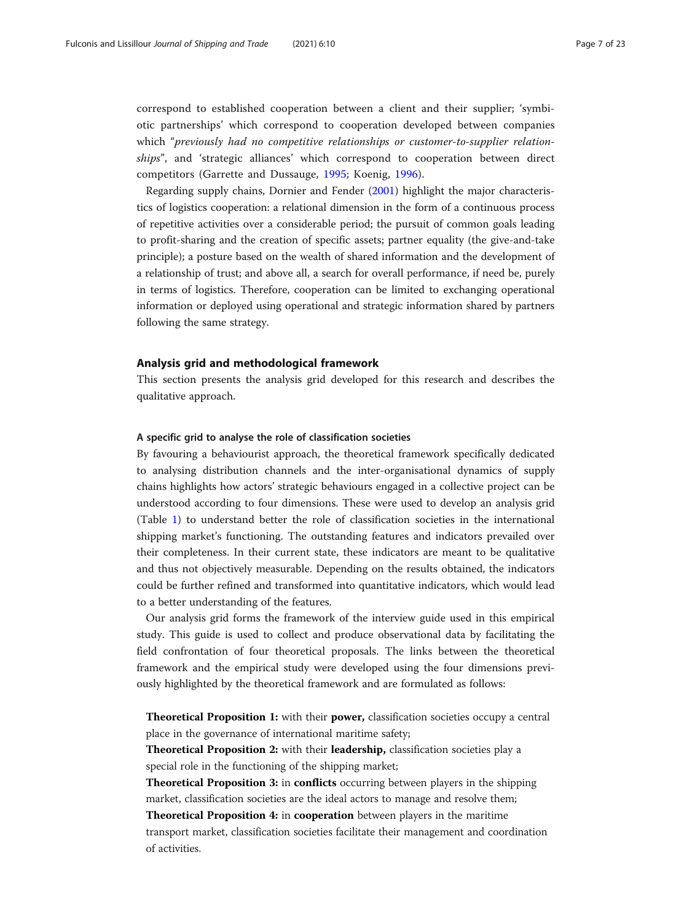correspond to established cooperation between a client and their supplier; 'symbiotic partnerships' which correspond to cooperation developed between companies which "previously had no competitive relationships or customer-to-supplier relationships", and 'strategic alliances' which correspond to cooperation between direct competitors (Garrette and Dussauge, [1995](#page-21-0); Koenig, [1996\)](#page-21-0).

Regarding supply chains, Dornier and Fender [\(2001\)](#page-21-0) highlight the major characteristics of logistics cooperation: a relational dimension in the form of a continuous process of repetitive activities over a considerable period; the pursuit of common goals leading to profit-sharing and the creation of specific assets; partner equality (the give-and-take principle); a posture based on the wealth of shared information and the development of a relationship of trust; and above all, a search for overall performance, if need be, purely in terms of logistics. Therefore, cooperation can be limited to exchanging operational information or deployed using operational and strategic information shared by partners following the same strategy.

# Analysis grid and methodological framework

This section presents the analysis grid developed for this research and describes the qualitative approach.

# A specific grid to analyse the role of classification societies

By favouring a behaviourist approach, the theoretical framework specifically dedicated to analysing distribution channels and the inter-organisational dynamics of supply chains highlights how actors' strategic behaviours engaged in a collective project can be understood according to four dimensions. These were used to develop an analysis grid (Table [1](#page-7-0)) to understand better the role of classification societies in the international shipping market's functioning. The outstanding features and indicators prevailed over their completeness. In their current state, these indicators are meant to be qualitative and thus not objectively measurable. Depending on the results obtained, the indicators could be further refined and transformed into quantitative indicators, which would lead to a better understanding of the features.

Our analysis grid forms the framework of the interview guide used in this empirical study. This guide is used to collect and produce observational data by facilitating the field confrontation of four theoretical proposals. The links between the theoretical framework and the empirical study were developed using the four dimensions previously highlighted by the theoretical framework and are formulated as follows:

Theoretical Proposition 1: with their power, classification societies occupy a central place in the governance of international maritime safety;

Theoretical Proposition 2: with their leadership, classification societies play a special role in the functioning of the shipping market;

Theoretical Proposition 3: in conflicts occurring between players in the shipping market, classification societies are the ideal actors to manage and resolve them;

Theoretical Proposition 4: in cooperation between players in the maritime transport market, classification societies facilitate their management and coordination of activities.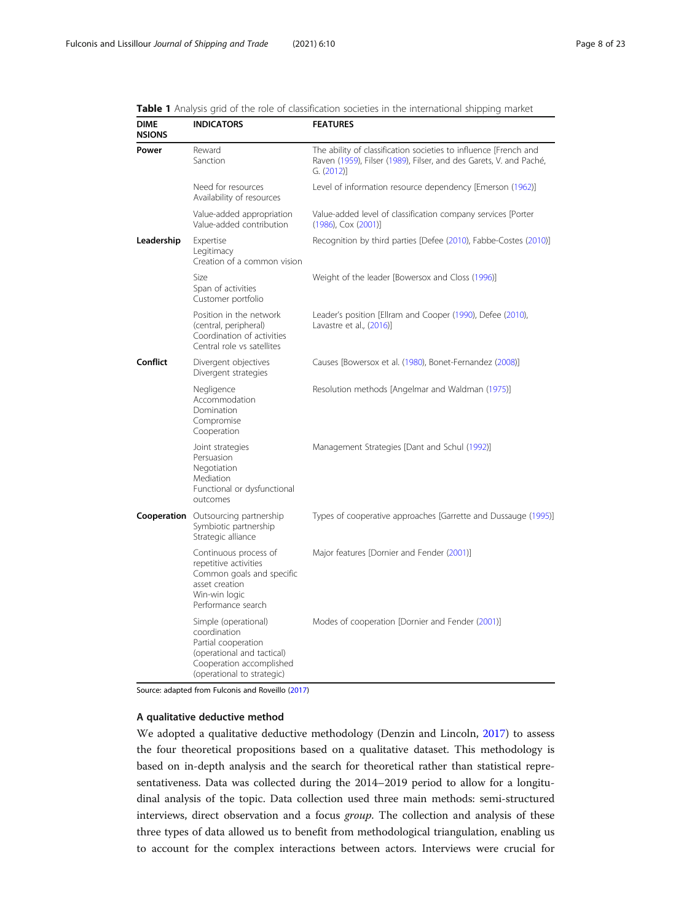| <b>DIME</b><br><b>NSIONS</b> | <b>INDICATORS</b>                                                                                                                                   | <b>FEATURES</b>                                                                                                                                     |
|------------------------------|-----------------------------------------------------------------------------------------------------------------------------------------------------|-----------------------------------------------------------------------------------------------------------------------------------------------------|
| Power                        | Reward<br>Sanction                                                                                                                                  | The ability of classification societies to influence [French and<br>Raven (1959), Filser (1989), Filser, and des Garets, V. and Paché,<br>G. (2012) |
|                              | Need for resources<br>Availability of resources                                                                                                     | Level of information resource dependency [Emerson (1962)]                                                                                           |
|                              | Value-added appropriation<br>Value-added contribution                                                                                               | Value-added level of classification company services [Porter<br>$(1986)$ , Cox $(2001)$ ]                                                           |
| Leadership                   | Expertise<br>Legitimacy<br>Creation of a common vision                                                                                              | Recognition by third parties [Defee (2010), Fabbe-Costes (2010)]                                                                                    |
|                              | Size<br>Span of activities<br>Customer portfolio                                                                                                    | Weight of the leader [Bowersox and Closs (1996)]                                                                                                    |
|                              | Position in the network<br>(central, peripheral)<br>Coordination of activities<br>Central role vs satellites                                        | Leader's position [Ellram and Cooper (1990), Defee (2010),<br>Lavastre et al., (2016)]                                                              |
| Conflict                     | Divergent objectives<br>Divergent strategies                                                                                                        | Causes [Bowersox et al. (1980), Bonet-Fernandez (2008)]                                                                                             |
|                              | Negligence<br>Accommodation<br>Domination<br>Compromise<br>Cooperation                                                                              | Resolution methods [Angelmar and Waldman (1975)]                                                                                                    |
|                              | Joint strategies<br>Persuasion<br>Negotiation<br>Mediation<br>Functional or dysfunctional<br>outcomes                                               | Management Strategies [Dant and Schul (1992)]                                                                                                       |
|                              | <b>Cooperation</b> Outsourcing partnership<br>Symbiotic partnership<br>Strategic alliance                                                           | Types of cooperative approaches [Garrette and Dussauge (1995)]                                                                                      |
|                              | Continuous process of<br>repetitive activities<br>Common goals and specific<br>asset creation<br>Win-win logic<br>Performance search                | Major features [Dornier and Fender (2001)]                                                                                                          |
|                              | Simple (operational)<br>coordination<br>Partial cooperation<br>(operational and tactical)<br>Cooperation accomplished<br>(operational to strategic) | Modes of cooperation [Dornier and Fender (2001)]                                                                                                    |

<span id="page-7-0"></span>Table 1 Analysis grid of the role of classification societies in the international shipping market

Source: adapted from Fulconis and Roveillo ([2017](#page-21-0))

# A qualitative deductive method

We adopted a qualitative deductive methodology (Denzin and Lincoln, [2017](#page-21-0)) to assess the four theoretical propositions based on a qualitative dataset. This methodology is based on in-depth analysis and the search for theoretical rather than statistical representativeness. Data was collected during the 2014–2019 period to allow for a longitudinal analysis of the topic. Data collection used three main methods: semi-structured interviews, direct observation and a focus group. The collection and analysis of these three types of data allowed us to benefit from methodological triangulation, enabling us to account for the complex interactions between actors. Interviews were crucial for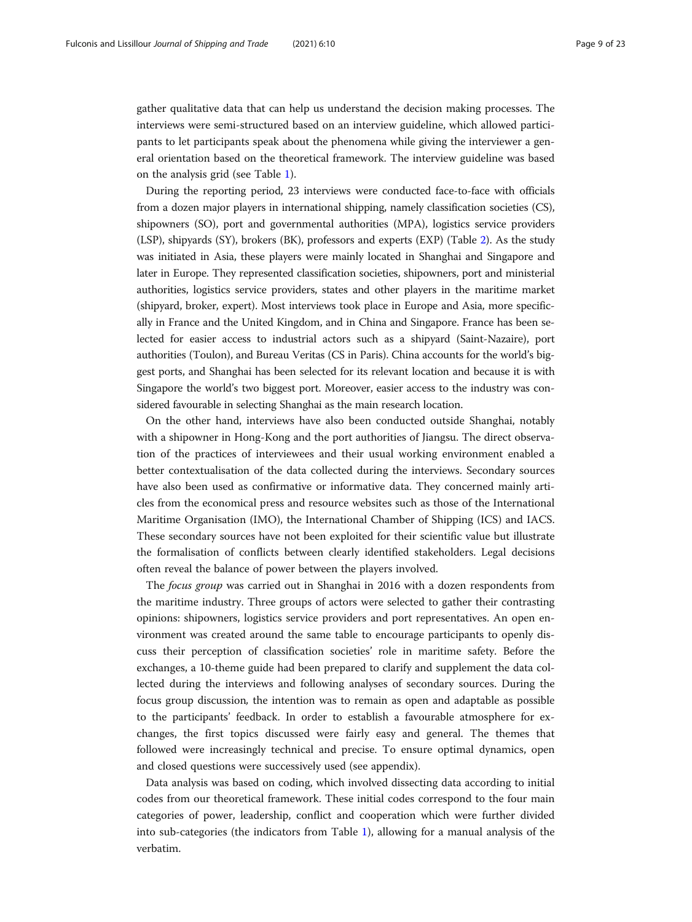gather qualitative data that can help us understand the decision making processes. The interviews were semi-structured based on an interview guideline, which allowed participants to let participants speak about the phenomena while giving the interviewer a general orientation based on the theoretical framework. The interview guideline was based on the analysis grid (see Table [1\)](#page-7-0).

During the reporting period, 23 interviews were conducted face-to-face with officials from a dozen major players in international shipping, namely classification societies (CS), shipowners (SO), port and governmental authorities (MPA), logistics service providers (LSP), shipyards (SY), brokers (BK), professors and experts (EXP) (Table [2](#page-9-0)). As the study was initiated in Asia, these players were mainly located in Shanghai and Singapore and later in Europe. They represented classification societies, shipowners, port and ministerial authorities, logistics service providers, states and other players in the maritime market (shipyard, broker, expert). Most interviews took place in Europe and Asia, more specifically in France and the United Kingdom, and in China and Singapore. France has been selected for easier access to industrial actors such as a shipyard (Saint-Nazaire), port authorities (Toulon), and Bureau Veritas (CS in Paris). China accounts for the world's biggest ports, and Shanghai has been selected for its relevant location and because it is with Singapore the world's two biggest port. Moreover, easier access to the industry was considered favourable in selecting Shanghai as the main research location.

On the other hand, interviews have also been conducted outside Shanghai, notably with a shipowner in Hong-Kong and the port authorities of Jiangsu. The direct observation of the practices of interviewees and their usual working environment enabled a better contextualisation of the data collected during the interviews. Secondary sources have also been used as confirmative or informative data. They concerned mainly articles from the economical press and resource websites such as those of the International Maritime Organisation (IMO), the International Chamber of Shipping (ICS) and IACS. These secondary sources have not been exploited for their scientific value but illustrate the formalisation of conflicts between clearly identified stakeholders. Legal decisions often reveal the balance of power between the players involved.

The *focus group* was carried out in Shanghai in 2016 with a dozen respondents from the maritime industry. Three groups of actors were selected to gather their contrasting opinions: shipowners, logistics service providers and port representatives. An open environment was created around the same table to encourage participants to openly discuss their perception of classification societies' role in maritime safety. Before the exchanges, a 10-theme guide had been prepared to clarify and supplement the data collected during the interviews and following analyses of secondary sources. During the focus group discussion, the intention was to remain as open and adaptable as possible to the participants' feedback. In order to establish a favourable atmosphere for exchanges, the first topics discussed were fairly easy and general. The themes that followed were increasingly technical and precise. To ensure optimal dynamics, open and closed questions were successively used (see appendix).

Data analysis was based on coding, which involved dissecting data according to initial codes from our theoretical framework. These initial codes correspond to the four main categories of power, leadership, conflict and cooperation which were further divided into sub-categories (the indicators from Table [1](#page-7-0)), allowing for a manual analysis of the verbatim.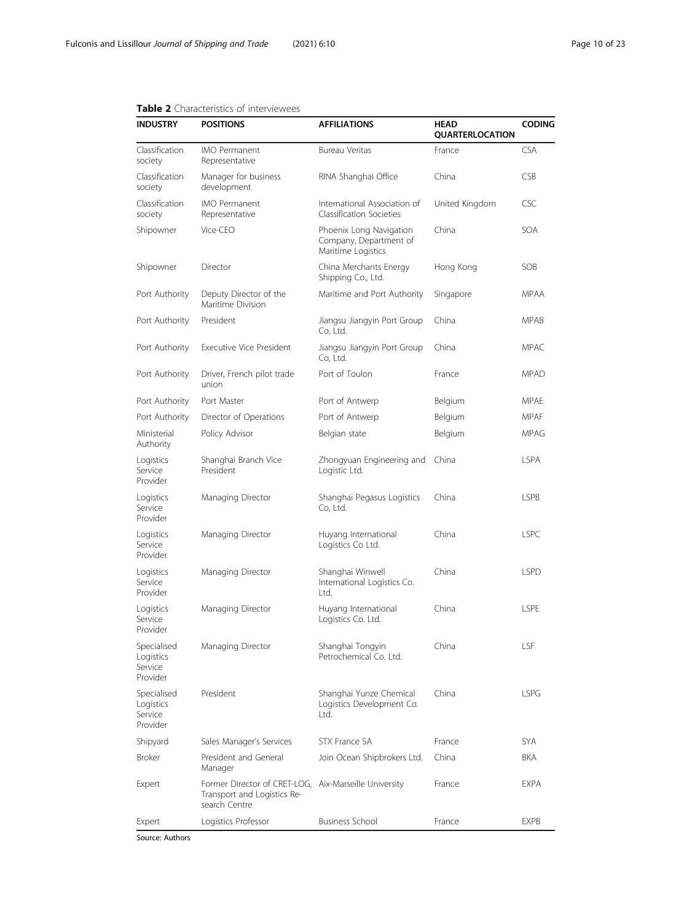| <b>TUDIC &amp;</b> Characteristics of interviewees |                                                                                                       |                                                                         |                                       |               |  |
|----------------------------------------------------|-------------------------------------------------------------------------------------------------------|-------------------------------------------------------------------------|---------------------------------------|---------------|--|
| <b>INDUSTRY</b>                                    | <b>POSITIONS</b>                                                                                      | <b>AFFILIATIONS</b>                                                     | <b>HEAD</b><br><b>QUARTERLOCATION</b> | <b>CODING</b> |  |
| Classification<br>society                          | <b>IMO Permanent</b><br>Representative                                                                | <b>Bureau Veritas</b>                                                   | France                                | <b>CSA</b>    |  |
| Classification<br>society                          | Manager for business<br>development                                                                   | RINA Shanghai Office                                                    | China                                 | <b>CSB</b>    |  |
| Classification<br>society                          | IMO Permanent<br>Representative                                                                       | International Association of<br>Classification Societies                | United Kingdom                        | <b>CSC</b>    |  |
| Shipowner                                          | Vice-CEO                                                                                              | Phoenix Long Navigation<br>Company, Department of<br>Maritime Logistics | China                                 | SOA           |  |
| Shipowner                                          | Director                                                                                              | China Merchants Energy<br>Shipping Co., Ltd.                            | Hong Kong                             | SOB           |  |
| Port Authority                                     | Deputy Director of the<br>Maritime Division                                                           | Maritime and Port Authority                                             | Singapore                             | <b>MPAA</b>   |  |
| Port Authority                                     | President                                                                                             | Jiangsu Jiangyin Port Group<br>Co, Ltd.                                 | China                                 | MPAB          |  |
| Port Authority                                     | Executive Vice President                                                                              | Jiangsu Jiangyin Port Group<br>Co, Ltd.                                 | China                                 | MPAC          |  |
| Port Authority                                     | Driver, French pilot trade<br>union                                                                   | Port of Toulon                                                          | France                                | <b>MPAD</b>   |  |
| Port Authority                                     | Port Master                                                                                           | Port of Antwerp                                                         | Belgium                               | MPAE          |  |
| Port Authority                                     | Director of Operations                                                                                | Port of Antwerp                                                         | Belgium                               | MPAF          |  |
| Ministerial<br>Authority                           | Policy Advisor                                                                                        | Belgian state                                                           | Belgium                               | <b>MPAG</b>   |  |
| Logistics<br>Service<br>Provider                   | Shanghai Branch Vice<br>President                                                                     | Zhongyuan Engineering and<br>Logistic Ltd.                              | China                                 | <b>LSPA</b>   |  |
| Logistics<br>Service<br>Provider                   | Managing Director                                                                                     | Shanghai Pegasus Logistics<br>Co, Ltd.                                  | China                                 | <b>LSPB</b>   |  |
| Logistics<br>Service<br>Provider                   | Managing Director                                                                                     | Huyang International<br>Logistics Co Ltd.                               | China                                 | <b>LSPC</b>   |  |
| Logistics<br>Service<br>Provider                   | Managing Director                                                                                     | Shanghai Winwell<br>International Logistics Co.<br>Ltd.                 | China                                 | <b>LSPD</b>   |  |
| Logistics<br>Service<br>Provider                   | Managing Director                                                                                     | Huyang International<br>Logistics Co. Ltd.                              | China                                 | <b>LSPE</b>   |  |
| Specialised<br>Logistics<br>Service<br>Provider    | Managing Director                                                                                     | Shanghai Tongyin<br>Petrochemical Co. Ltd.                              | China                                 | LSF           |  |
| Specialised<br>Logistics<br>Service<br>Provider    | President                                                                                             | Shanghai Yunze Chemical<br>Logistics Development Co.<br>Ltd.            | China                                 | <b>LSPG</b>   |  |
| Shipyard                                           | Sales Manager's Services                                                                              | STX France SA                                                           | France                                | SYA           |  |
| <b>Broker</b>                                      | President and General<br>Manager                                                                      | Join Ocean Shipbrokers Ltd.                                             | China                                 | BKA           |  |
| Expert                                             | Former Director of CRET-LOG, Aix-Marseille University<br>Transport and Logistics Re-<br>search Centre |                                                                         | France                                | <b>EXPA</b>   |  |
| Expert                                             | Logistics Professor                                                                                   | <b>Business School</b>                                                  | France                                | <b>EXPB</b>   |  |
|                                                    |                                                                                                       |                                                                         |                                       |               |  |

# <span id="page-9-0"></span>Table 2 Characteristics of interviewees

Source: Authors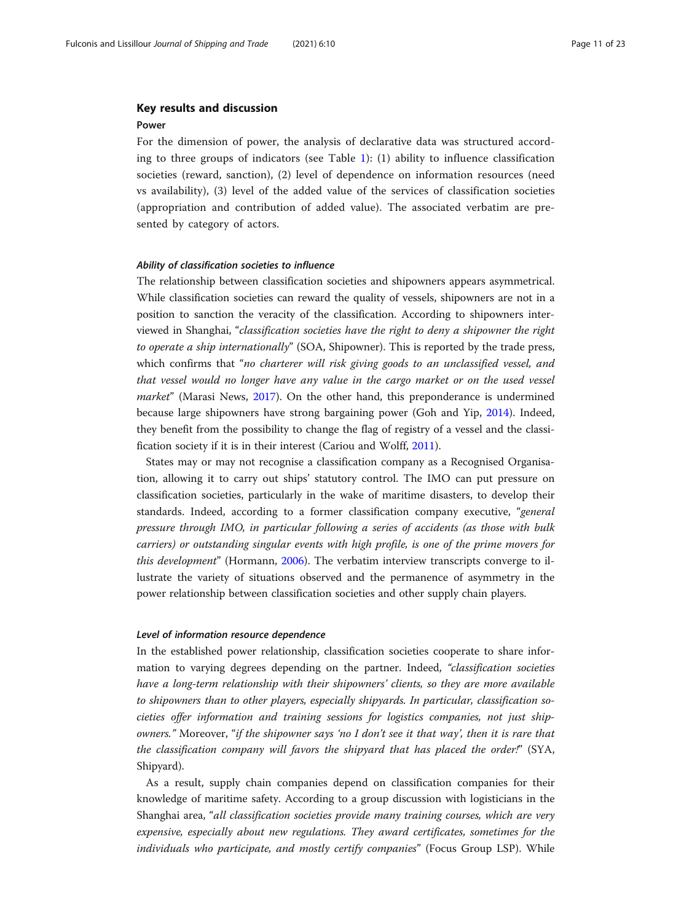# Key results and discussion

#### Power

For the dimension of power, the analysis of declarative data was structured according to three groups of indicators (see Table [1](#page-7-0)): (1) ability to influence classification societies (reward, sanction), (2) level of dependence on information resources (need vs availability), (3) level of the added value of the services of classification societies (appropriation and contribution of added value). The associated verbatim are presented by category of actors.

#### Ability of classification societies to influence

The relationship between classification societies and shipowners appears asymmetrical. While classification societies can reward the quality of vessels, shipowners are not in a position to sanction the veracity of the classification. According to shipowners interviewed in Shanghai, "classification societies have the right to deny a shipowner the right to operate a ship internationally" (SOA, Shipowner). This is reported by the trade press, which confirms that "no charterer will risk giving goods to an unclassified vessel, and that vessel would no longer have any value in the cargo market or on the used vessel market" (Marasi News, [2017](#page-22-0)). On the other hand, this preponderance is undermined because large shipowners have strong bargaining power (Goh and Yip, [2014](#page-21-0)). Indeed, they benefit from the possibility to change the flag of registry of a vessel and the classification society if it is in their interest (Cariou and Wolff, [2011](#page-20-0)).

States may or may not recognise a classification company as a Recognised Organisation, allowing it to carry out ships' statutory control. The IMO can put pressure on classification societies, particularly in the wake of maritime disasters, to develop their standards. Indeed, according to a former classification company executive, "general pressure through IMO, in particular following a series of accidents (as those with bulk carriers) or outstanding singular events with high profile, is one of the prime movers for this development" (Hormann, [2006\)](#page-21-0). The verbatim interview transcripts converge to illustrate the variety of situations observed and the permanence of asymmetry in the power relationship between classification societies and other supply chain players.

#### Level of information resource dependence

In the established power relationship, classification societies cooperate to share information to varying degrees depending on the partner. Indeed, "classification societies have a long-term relationship with their shipowners' clients, so they are more available to shipowners than to other players, especially shipyards. In particular, classification societies offer information and training sessions for logistics companies, not just shipowners." Moreover, "if the shipowner says 'no I don't see it that way', then it is rare that the classification company will favors the shipyard that has placed the order!" (SYA, Shipyard).

As a result, supply chain companies depend on classification companies for their knowledge of maritime safety. According to a group discussion with logisticians in the Shanghai area, "all classification societies provide many training courses, which are very expensive, especially about new regulations. They award certificates, sometimes for the individuals who participate, and mostly certify companies" (Focus Group LSP). While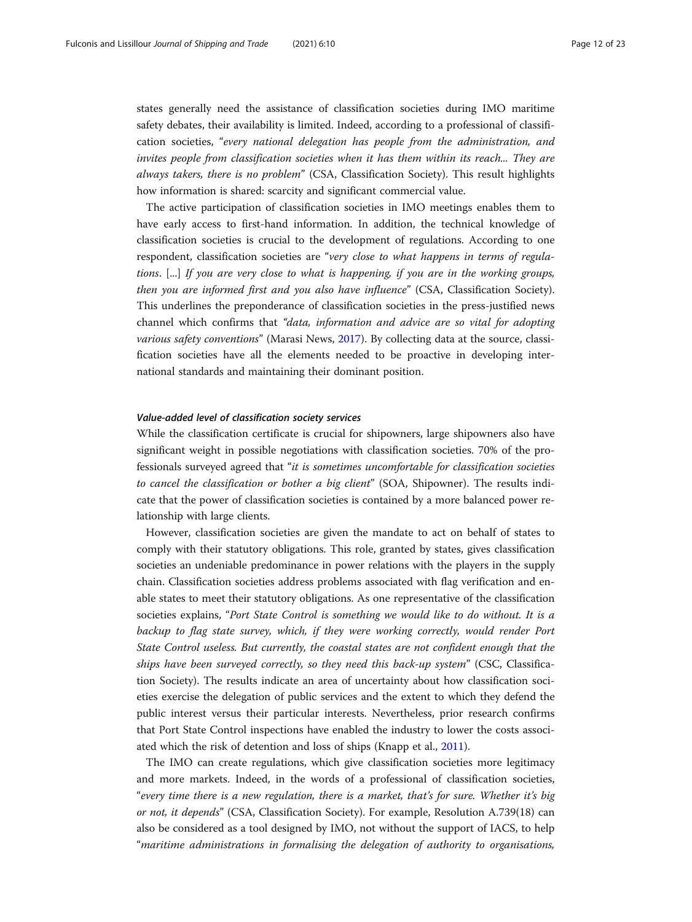states generally need the assistance of classification societies during IMO maritime safety debates, their availability is limited. Indeed, according to a professional of classification societies, "every national delegation has people from the administration, and invites people from classification societies when it has them within its reach... They are always takers, there is no problem" (CSA, Classification Society). This result highlights how information is shared: scarcity and significant commercial value.

The active participation of classification societies in IMO meetings enables them to have early access to first-hand information. In addition, the technical knowledge of classification societies is crucial to the development of regulations. According to one respondent, classification societies are "very close to what happens in terms of regulations. [...] If you are very close to what is happening, if you are in the working groups, then you are informed first and you also have influence" (CSA, Classification Society). This underlines the preponderance of classification societies in the press-justified news channel which confirms that "data, information and advice are so vital for adopting various safety conventions" (Marasi News, [2017\)](#page-22-0). By collecting data at the source, classification societies have all the elements needed to be proactive in developing international standards and maintaining their dominant position.

# Value-added level of classification society services

While the classification certificate is crucial for shipowners, large shipowners also have significant weight in possible negotiations with classification societies. 70% of the professionals surveyed agreed that "it is sometimes uncomfortable for classification societies to cancel the classification or bother a big client" (SOA, Shipowner). The results indicate that the power of classification societies is contained by a more balanced power relationship with large clients.

However, classification societies are given the mandate to act on behalf of states to comply with their statutory obligations. This role, granted by states, gives classification societies an undeniable predominance in power relations with the players in the supply chain. Classification societies address problems associated with flag verification and enable states to meet their statutory obligations. As one representative of the classification societies explains, "Port State Control is something we would like to do without. It is a backup to flag state survey, which, if they were working correctly, would render Port State Control useless. But currently, the coastal states are not confident enough that the ships have been surveyed correctly, so they need this back-up system" (CSC, Classification Society). The results indicate an area of uncertainty about how classification societies exercise the delegation of public services and the extent to which they defend the public interest versus their particular interests. Nevertheless, prior research confirms that Port State Control inspections have enabled the industry to lower the costs associated which the risk of detention and loss of ships (Knapp et al., [2011](#page-21-0)).

The IMO can create regulations, which give classification societies more legitimacy and more markets. Indeed, in the words of a professional of classification societies, "every time there is a new regulation, there is a market, that's for sure. Whether it's big or not, it depends" (CSA, Classification Society). For example, Resolution A.739(18) can also be considered as a tool designed by IMO, not without the support of IACS, to help "maritime administrations in formalising the delegation of authority to organisations,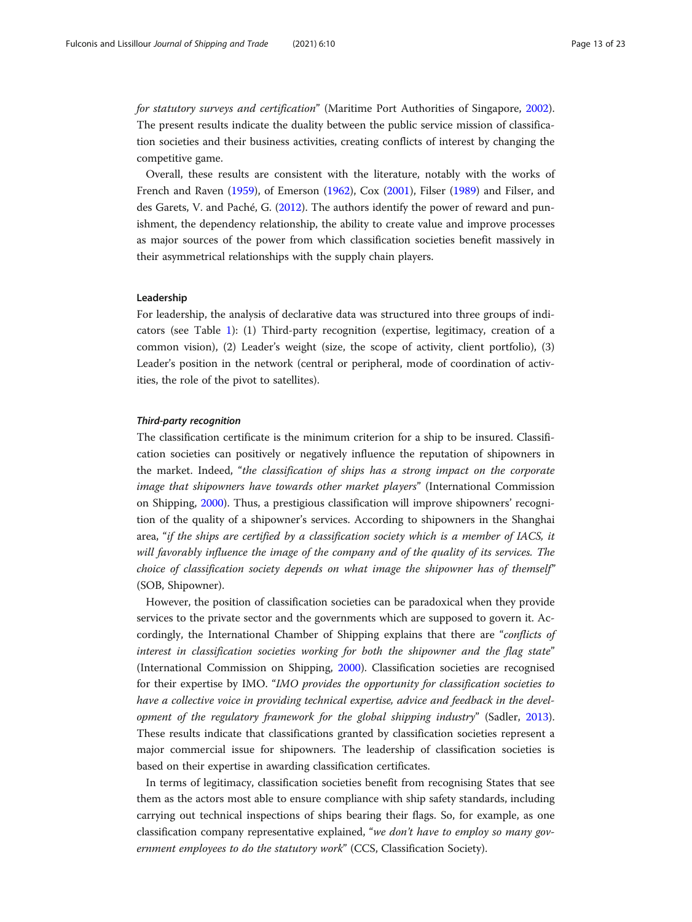for statutory surveys and certification" (Maritime Port Authorities of Singapore, [2002](#page-22-0)). The present results indicate the duality between the public service mission of classification societies and their business activities, creating conflicts of interest by changing the competitive game.

Overall, these results are consistent with the literature, notably with the works of French and Raven [\(1959\)](#page-21-0), of Emerson ([1962](#page-21-0)), Cox [\(2001\)](#page-21-0), Filser [\(1989\)](#page-21-0) and Filser, and des Garets, V. and Paché, G. ([2012\)](#page-21-0). The authors identify the power of reward and punishment, the dependency relationship, the ability to create value and improve processes as major sources of the power from which classification societies benefit massively in their asymmetrical relationships with the supply chain players.

#### Leadership

For leadership, the analysis of declarative data was structured into three groups of indicators (see Table [1\)](#page-7-0): (1) Third-party recognition (expertise, legitimacy, creation of a common vision), (2) Leader's weight (size, the scope of activity, client portfolio), (3) Leader's position in the network (central or peripheral, mode of coordination of activities, the role of the pivot to satellites).

# Third-party recognition

The classification certificate is the minimum criterion for a ship to be insured. Classification societies can positively or negatively influence the reputation of shipowners in the market. Indeed, "the classification of ships has a strong impact on the corporate image that shipowners have towards other market players" (International Commission on Shipping, [2000](#page-21-0)). Thus, a prestigious classification will improve shipowners' recognition of the quality of a shipowner's services. According to shipowners in the Shanghai area, "if the ships are certified by a classification society which is a member of IACS, it will favorably influence the image of the company and of the quality of its services. The choice of classification society depends on what image the shipowner has of themself" (SOB, Shipowner).

However, the position of classification societies can be paradoxical when they provide services to the private sector and the governments which are supposed to govern it. Accordingly, the International Chamber of Shipping explains that there are "conflicts of interest in classification societies working for both the shipowner and the flag state" (International Commission on Shipping, [2000\)](#page-21-0). Classification societies are recognised for their expertise by IMO. "IMO provides the opportunity for classification societies to have a collective voice in providing technical expertise, advice and feedback in the development of the regulatory framework for the global shipping industry" (Sadler, [2013](#page-22-0)). These results indicate that classifications granted by classification societies represent a major commercial issue for shipowners. The leadership of classification societies is based on their expertise in awarding classification certificates.

In terms of legitimacy, classification societies benefit from recognising States that see them as the actors most able to ensure compliance with ship safety standards, including carrying out technical inspections of ships bearing their flags. So, for example, as one classification company representative explained, "we don't have to employ so many government employees to do the statutory work" (CCS, Classification Society).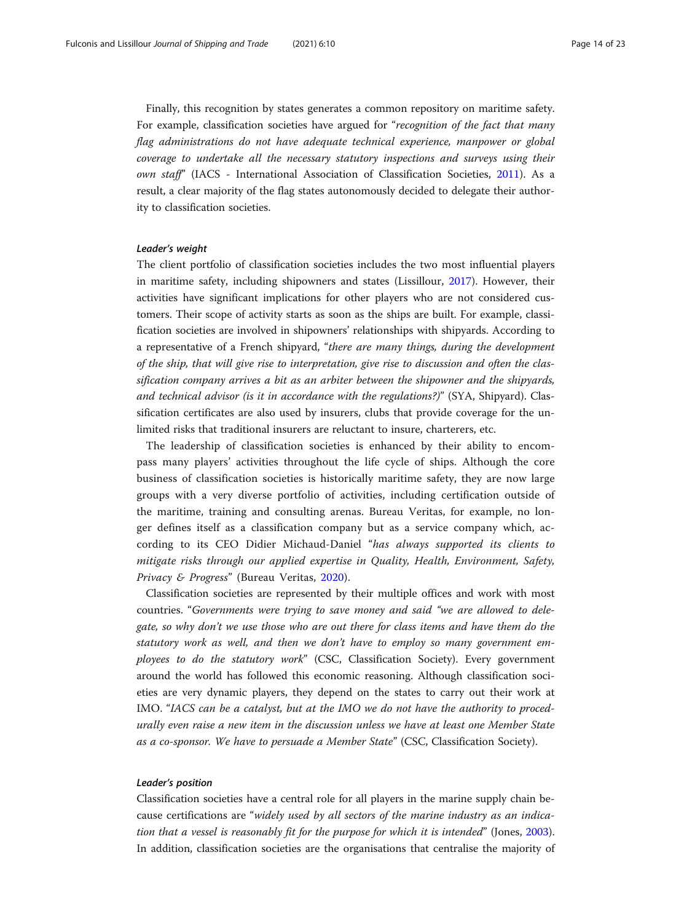Finally, this recognition by states generates a common repository on maritime safety. For example, classification societies have argued for "recognition of the fact that many flag administrations do not have adequate technical experience, manpower or global coverage to undertake all the necessary statutory inspections and surveys using their own staff" (IACS - International Association of Classification Societies, [2011](#page-21-0)). As a result, a clear majority of the flag states autonomously decided to delegate their authority to classification societies.

# Leader's weight

The client portfolio of classification societies includes the two most influential players in maritime safety, including shipowners and states (Lissillour, [2017](#page-22-0)). However, their activities have significant implications for other players who are not considered customers. Their scope of activity starts as soon as the ships are built. For example, classification societies are involved in shipowners' relationships with shipyards. According to a representative of a French shipyard, "there are many things, during the development of the ship, that will give rise to interpretation, give rise to discussion and often the classification company arrives a bit as an arbiter between the shipowner and the shipyards, and technical advisor (is it in accordance with the regulations?)" (SYA, Shipyard). Classification certificates are also used by insurers, clubs that provide coverage for the unlimited risks that traditional insurers are reluctant to insure, charterers, etc.

The leadership of classification societies is enhanced by their ability to encompass many players' activities throughout the life cycle of ships. Although the core business of classification societies is historically maritime safety, they are now large groups with a very diverse portfolio of activities, including certification outside of the maritime, training and consulting arenas. Bureau Veritas, for example, no longer defines itself as a classification company but as a service company which, according to its CEO Didier Michaud-Daniel "has always supported its clients to mitigate risks through our applied expertise in Quality, Health, Environment, Safety, Privacy & Progress" (Bureau Veritas, [2020](#page-20-0)).

Classification societies are represented by their multiple offices and work with most countries. "Governments were trying to save money and said "we are allowed to delegate, so why don't we use those who are out there for class items and have them do the statutory work as well, and then we don't have to employ so many government employees to do the statutory work" (CSC, Classification Society). Every government around the world has followed this economic reasoning. Although classification societies are very dynamic players, they depend on the states to carry out their work at IMO. "IACS can be a catalyst, but at the IMO we do not have the authority to procedurally even raise a new item in the discussion unless we have at least one Member State as a co-sponsor. We have to persuade a Member State" (CSC, Classification Society).

# Leader's position

Classification societies have a central role for all players in the marine supply chain because certifications are "widely used by all sectors of the marine industry as an indication that a vessel is reasonably fit for the purpose for which it is intended" (Jones, [2003](#page-21-0)). In addition, classification societies are the organisations that centralise the majority of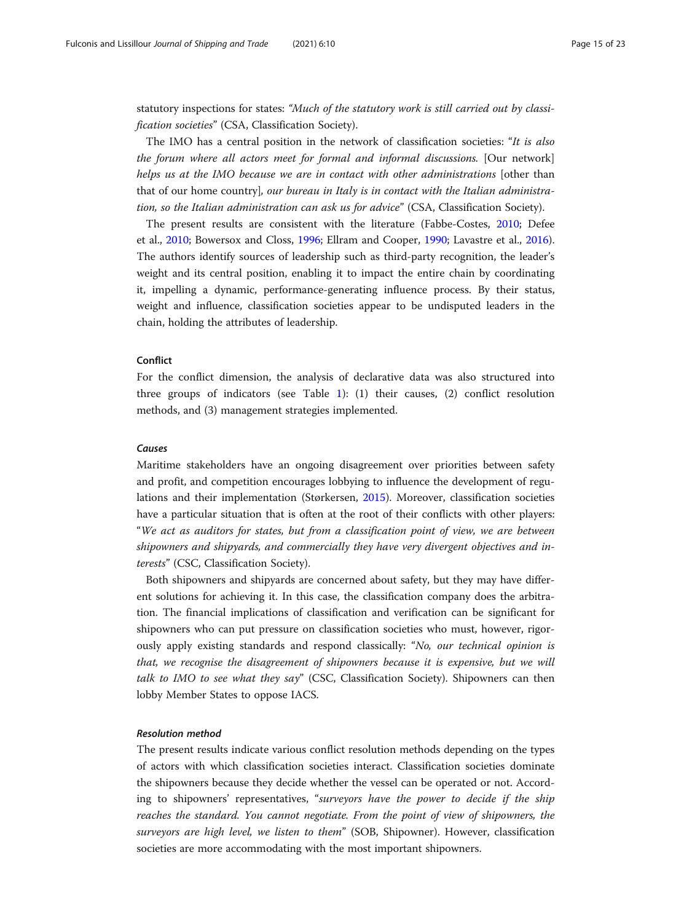statutory inspections for states: "Much of the statutory work is still carried out by classification societies" (CSA, Classification Society).

The IMO has a central position in the network of classification societies: "It is also the forum where all actors meet for formal and informal discussions. [Our network] helps us at the IMO because we are in contact with other administrations [other than that of our home country], our bureau in Italy is in contact with the Italian administration, so the Italian administration can ask us for advice" (CSA, Classification Society).

The present results are consistent with the literature (Fabbe-Costes, [2010](#page-21-0); Defee et al., [2010;](#page-21-0) Bowersox and Closs, [1996;](#page-20-0) Ellram and Cooper, [1990;](#page-21-0) Lavastre et al., [2016](#page-22-0)). The authors identify sources of leadership such as third-party recognition, the leader's weight and its central position, enabling it to impact the entire chain by coordinating it, impelling a dynamic, performance-generating influence process. By their status, weight and influence, classification societies appear to be undisputed leaders in the chain, holding the attributes of leadership.

# Conflict

For the conflict dimension, the analysis of declarative data was also structured into three groups of indicators (see Table [1\)](#page-7-0): (1) their causes, (2) conflict resolution methods, and (3) management strategies implemented.

# Causes

Maritime stakeholders have an ongoing disagreement over priorities between safety and profit, and competition encourages lobbying to influence the development of regulations and their implementation (Størkersen, [2015](#page-22-0)). Moreover, classification societies have a particular situation that is often at the root of their conflicts with other players: "We act as auditors for states, but from a classification point of view, we are between shipowners and shipyards, and commercially they have very divergent objectives and interests" (CSC, Classification Society).

Both shipowners and shipyards are concerned about safety, but they may have different solutions for achieving it. In this case, the classification company does the arbitration. The financial implications of classification and verification can be significant for shipowners who can put pressure on classification societies who must, however, rigorously apply existing standards and respond classically: "No, our technical opinion is that, we recognise the disagreement of shipowners because it is expensive, but we will talk to IMO to see what they say" (CSC, Classification Society). Shipowners can then lobby Member States to oppose IACS.

#### Resolution method

The present results indicate various conflict resolution methods depending on the types of actors with which classification societies interact. Classification societies dominate the shipowners because they decide whether the vessel can be operated or not. According to shipowners' representatives, "surveyors have the power to decide if the ship reaches the standard. You cannot negotiate. From the point of view of shipowners, the surveyors are high level, we listen to them" (SOB, Shipowner). However, classification societies are more accommodating with the most important shipowners.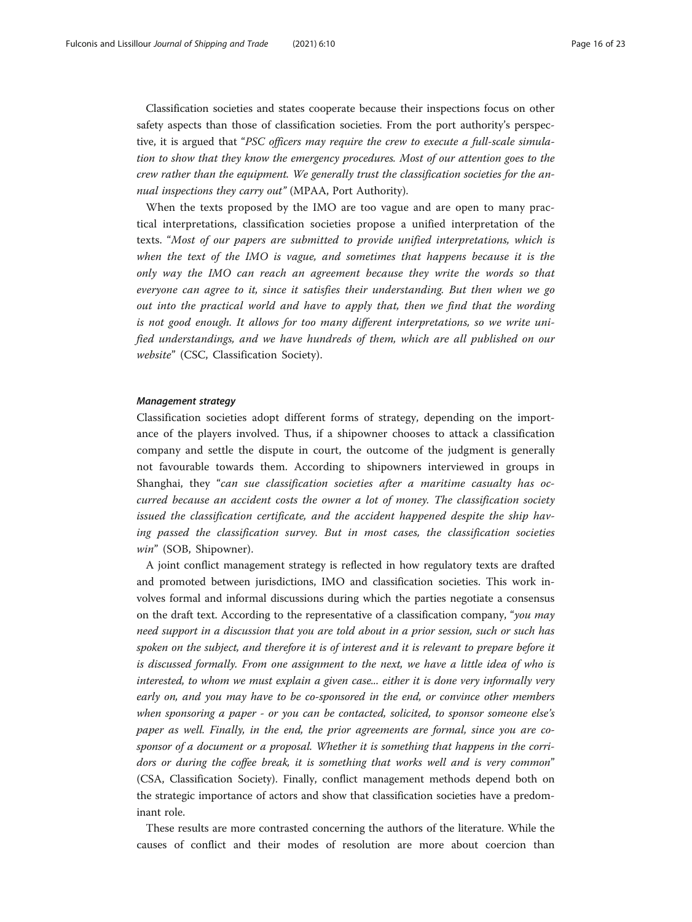Classification societies and states cooperate because their inspections focus on other safety aspects than those of classification societies. From the port authority's perspective, it is argued that "PSC officers may require the crew to execute a full-scale simulation to show that they know the emergency procedures. Most of our attention goes to the crew rather than the equipment. We generally trust the classification societies for the annual inspections they carry out" (MPAA, Port Authority).

When the texts proposed by the IMO are too vague and are open to many practical interpretations, classification societies propose a unified interpretation of the texts. "Most of our papers are submitted to provide unified interpretations, which is when the text of the IMO is vague, and sometimes that happens because it is the only way the IMO can reach an agreement because they write the words so that everyone can agree to it, since it satisfies their understanding. But then when we go out into the practical world and have to apply that, then we find that the wording is not good enough. It allows for too many different interpretations, so we write unified understandings, and we have hundreds of them, which are all published on our website" (CSC, Classification Society).

#### Management strategy

Classification societies adopt different forms of strategy, depending on the importance of the players involved. Thus, if a shipowner chooses to attack a classification company and settle the dispute in court, the outcome of the judgment is generally not favourable towards them. According to shipowners interviewed in groups in Shanghai, they "can sue classification societies after a maritime casualty has occurred because an accident costs the owner a lot of money. The classification society issued the classification certificate, and the accident happened despite the ship having passed the classification survey. But in most cases, the classification societies win" (SOB, Shipowner).

A joint conflict management strategy is reflected in how regulatory texts are drafted and promoted between jurisdictions, IMO and classification societies. This work involves formal and informal discussions during which the parties negotiate a consensus on the draft text. According to the representative of a classification company, "you may need support in a discussion that you are told about in a prior session, such or such has spoken on the subject, and therefore it is of interest and it is relevant to prepare before it is discussed formally. From one assignment to the next, we have a little idea of who is interested, to whom we must explain a given case... either it is done very informally very early on, and you may have to be co-sponsored in the end, or convince other members when sponsoring a paper - or you can be contacted, solicited, to sponsor someone else's paper as well. Finally, in the end, the prior agreements are formal, since you are cosponsor of a document or a proposal. Whether it is something that happens in the corridors or during the coffee break, it is something that works well and is very common" (CSA, Classification Society). Finally, conflict management methods depend both on the strategic importance of actors and show that classification societies have a predominant role.

These results are more contrasted concerning the authors of the literature. While the causes of conflict and their modes of resolution are more about coercion than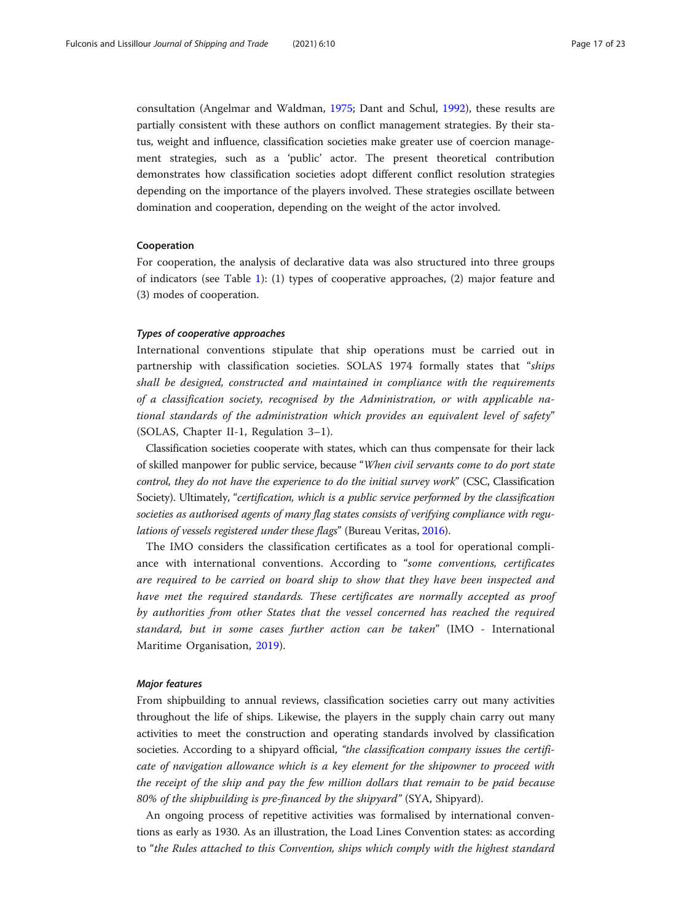consultation (Angelmar and Waldman, [1975;](#page-20-0) Dant and Schul, [1992\)](#page-21-0), these results are partially consistent with these authors on conflict management strategies. By their status, weight and influence, classification societies make greater use of coercion management strategies, such as a 'public' actor. The present theoretical contribution demonstrates how classification societies adopt different conflict resolution strategies depending on the importance of the players involved. These strategies oscillate between domination and cooperation, depending on the weight of the actor involved.

#### Cooperation

For cooperation, the analysis of declarative data was also structured into three groups of indicators (see Table [1\)](#page-7-0): (1) types of cooperative approaches, (2) major feature and (3) modes of cooperation.

#### Types of cooperative approaches

International conventions stipulate that ship operations must be carried out in partnership with classification societies. SOLAS 1974 formally states that "ships shall be designed, constructed and maintained in compliance with the requirements of a classification society, recognised by the Administration, or with applicable national standards of the administration which provides an equivalent level of safety" (SOLAS, Chapter II-1, Regulation 3–1).

Classification societies cooperate with states, which can thus compensate for their lack of skilled manpower for public service, because "When civil servants come to do port state control, they do not have the experience to do the initial survey work" (CSC, Classification Society). Ultimately, "certification, which is a public service performed by the classification societies as authorised agents of many flag states consists of verifying compliance with regu-lations of vessels registered under these flags" (Bureau Veritas, [2016\)](#page-22-0).

The IMO considers the classification certificates as a tool for operational compliance with international conventions. According to "some conventions, certificates are required to be carried on board ship to show that they have been inspected and have met the required standards. These certificates are normally accepted as proof by authorities from other States that the vessel concerned has reached the required standard, but in some cases further action can be taken" (IMO - International Maritime Organisation, [2019](#page-21-0)).

#### Major features

From shipbuilding to annual reviews, classification societies carry out many activities throughout the life of ships. Likewise, the players in the supply chain carry out many activities to meet the construction and operating standards involved by classification societies. According to a shipyard official, "the classification company issues the certificate of navigation allowance which is a key element for the shipowner to proceed with the receipt of the ship and pay the few million dollars that remain to be paid because 80% of the shipbuilding is pre-financed by the shipyard" (SYA, Shipyard).

An ongoing process of repetitive activities was formalised by international conventions as early as 1930. As an illustration, the Load Lines Convention states: as according to "the Rules attached to this Convention, ships which comply with the highest standard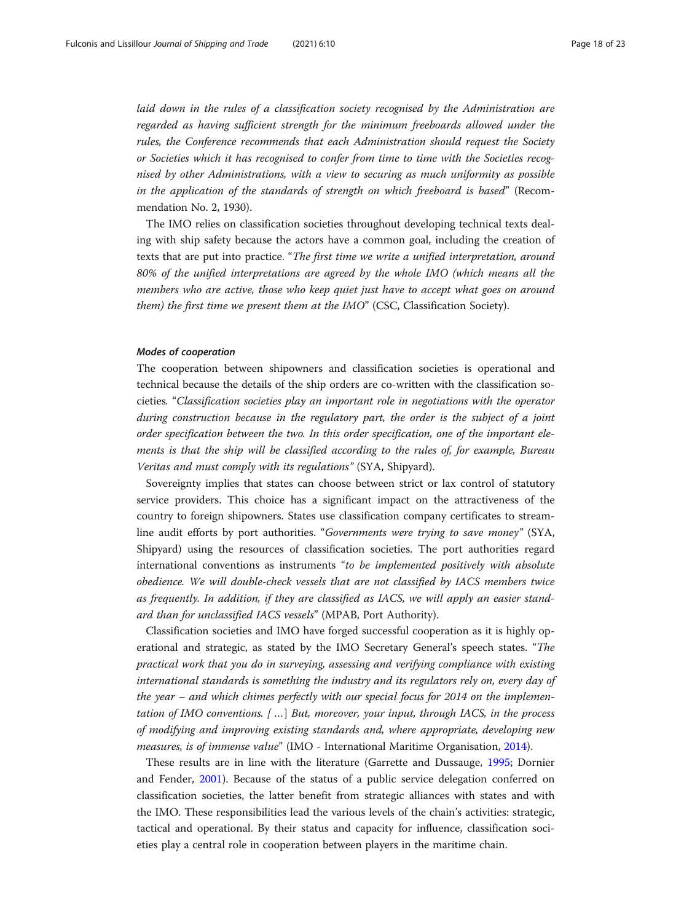laid down in the rules of a classification society recognised by the Administration are regarded as having sufficient strength for the minimum freeboards allowed under the rules, the Conference recommends that each Administration should request the Society or Societies which it has recognised to confer from time to time with the Societies recognised by other Administrations, with a view to securing as much uniformity as possible in the application of the standards of strength on which freeboard is based" (Recommendation No. 2, 1930).

The IMO relies on classification societies throughout developing technical texts dealing with ship safety because the actors have a common goal, including the creation of texts that are put into practice. "The first time we write a unified interpretation, around 80% of the unified interpretations are agreed by the whole IMO (which means all the members who are active, those who keep quiet just have to accept what goes on around them) the first time we present them at the IMO" (CSC, Classification Society).

# Modes of cooperation

The cooperation between shipowners and classification societies is operational and technical because the details of the ship orders are co-written with the classification societies. "Classification societies play an important role in negotiations with the operator during construction because in the regulatory part, the order is the subject of a joint order specification between the two. In this order specification, one of the important elements is that the ship will be classified according to the rules of, for example, Bureau Veritas and must comply with its regulations" (SYA, Shipyard).

Sovereignty implies that states can choose between strict or lax control of statutory service providers. This choice has a significant impact on the attractiveness of the country to foreign shipowners. States use classification company certificates to streamline audit efforts by port authorities. "Governments were trying to save money" (SYA, Shipyard) using the resources of classification societies. The port authorities regard international conventions as instruments "to be implemented positively with absolute obedience. We will double-check vessels that are not classified by IACS members twice as frequently. In addition, if they are classified as IACS, we will apply an easier standard than for unclassified IACS vessels" (MPAB, Port Authority).

Classification societies and IMO have forged successful cooperation as it is highly operational and strategic, as stated by the IMO Secretary General's speech states. "The practical work that you do in surveying, assessing and verifying compliance with existing international standards is something the industry and its regulators rely on, every day of the year – and which chimes perfectly with our special focus for 2014 on the implementation of IMO conventions. [ …] But, moreover, your input, through IACS, in the process of modifying and improving existing standards and, where appropriate, developing new measures, is of immense value" (IMO - International Maritime Organisation, [2014\)](#page-21-0).

These results are in line with the literature (Garrette and Dussauge, [1995](#page-21-0); Dornier and Fender, [2001](#page-21-0)). Because of the status of a public service delegation conferred on classification societies, the latter benefit from strategic alliances with states and with the IMO. These responsibilities lead the various levels of the chain's activities: strategic, tactical and operational. By their status and capacity for influence, classification societies play a central role in cooperation between players in the maritime chain.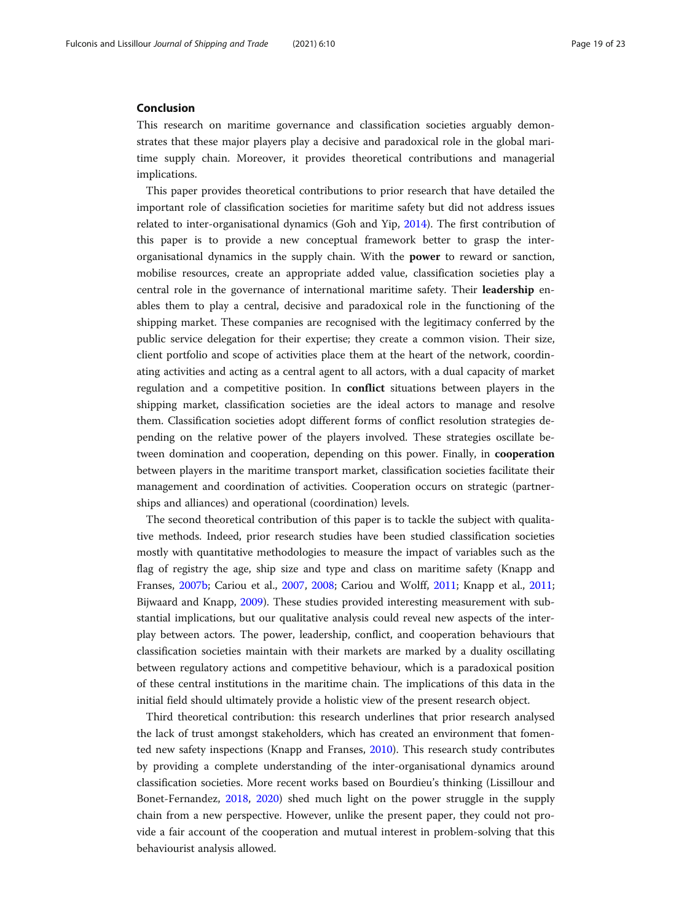# Conclusion

This research on maritime governance and classification societies arguably demonstrates that these major players play a decisive and paradoxical role in the global maritime supply chain. Moreover, it provides theoretical contributions and managerial implications.

This paper provides theoretical contributions to prior research that have detailed the important role of classification societies for maritime safety but did not address issues related to inter-organisational dynamics (Goh and Yip, [2014](#page-21-0)). The first contribution of this paper is to provide a new conceptual framework better to grasp the interorganisational dynamics in the supply chain. With the power to reward or sanction, mobilise resources, create an appropriate added value, classification societies play a central role in the governance of international maritime safety. Their leadership enables them to play a central, decisive and paradoxical role in the functioning of the shipping market. These companies are recognised with the legitimacy conferred by the public service delegation for their expertise; they create a common vision. Their size, client portfolio and scope of activities place them at the heart of the network, coordinating activities and acting as a central agent to all actors, with a dual capacity of market regulation and a competitive position. In conflict situations between players in the shipping market, classification societies are the ideal actors to manage and resolve them. Classification societies adopt different forms of conflict resolution strategies depending on the relative power of the players involved. These strategies oscillate between domination and cooperation, depending on this power. Finally, in cooperation between players in the maritime transport market, classification societies facilitate their management and coordination of activities. Cooperation occurs on strategic (partnerships and alliances) and operational (coordination) levels.

The second theoretical contribution of this paper is to tackle the subject with qualitative methods. Indeed, prior research studies have been studied classification societies mostly with quantitative methodologies to measure the impact of variables such as the flag of registry the age, ship size and type and class on maritime safety (Knapp and Franses, [2007b;](#page-21-0) Cariou et al., [2007](#page-20-0), [2008;](#page-20-0) Cariou and Wolff, [2011;](#page-20-0) Knapp et al., [2011](#page-21-0); Bijwaard and Knapp, [2009](#page-20-0)). These studies provided interesting measurement with substantial implications, but our qualitative analysis could reveal new aspects of the interplay between actors. The power, leadership, conflict, and cooperation behaviours that classification societies maintain with their markets are marked by a duality oscillating between regulatory actions and competitive behaviour, which is a paradoxical position of these central institutions in the maritime chain. The implications of this data in the initial field should ultimately provide a holistic view of the present research object.

Third theoretical contribution: this research underlines that prior research analysed the lack of trust amongst stakeholders, which has created an environment that fomented new safety inspections (Knapp and Franses, [2010\)](#page-21-0). This research study contributes by providing a complete understanding of the inter-organisational dynamics around classification societies. More recent works based on Bourdieu's thinking (Lissillour and Bonet-Fernandez, [2018,](#page-22-0) [2020](#page-22-0)) shed much light on the power struggle in the supply chain from a new perspective. However, unlike the present paper, they could not provide a fair account of the cooperation and mutual interest in problem-solving that this behaviourist analysis allowed.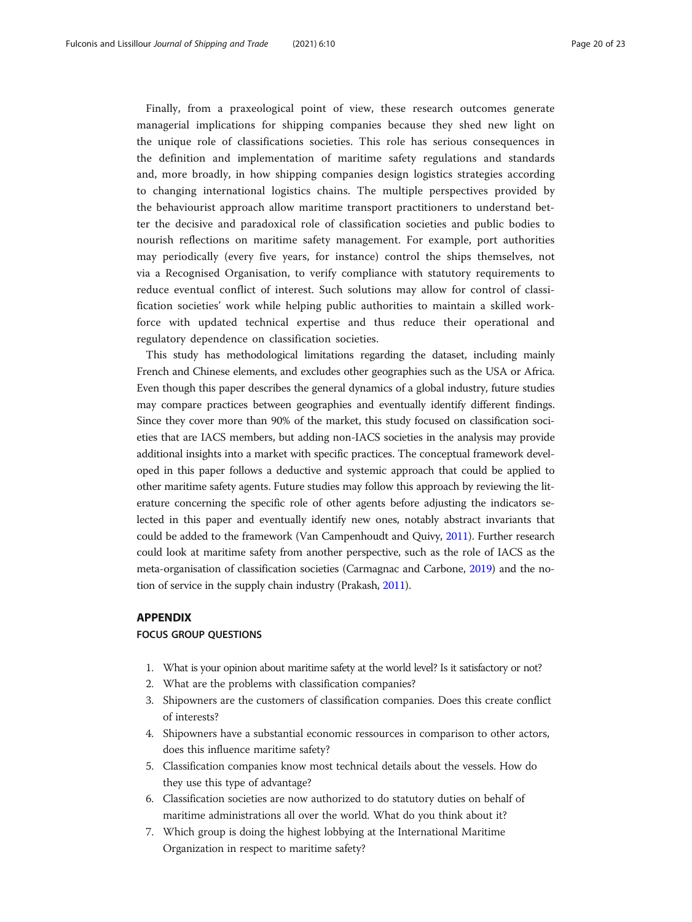Finally, from a praxeological point of view, these research outcomes generate managerial implications for shipping companies because they shed new light on the unique role of classifications societies. This role has serious consequences in the definition and implementation of maritime safety regulations and standards and, more broadly, in how shipping companies design logistics strategies according to changing international logistics chains. The multiple perspectives provided by the behaviourist approach allow maritime transport practitioners to understand better the decisive and paradoxical role of classification societies and public bodies to nourish reflections on maritime safety management. For example, port authorities may periodically (every five years, for instance) control the ships themselves, not via a Recognised Organisation, to verify compliance with statutory requirements to reduce eventual conflict of interest. Such solutions may allow for control of classification societies' work while helping public authorities to maintain a skilled workforce with updated technical expertise and thus reduce their operational and regulatory dependence on classification societies.

This study has methodological limitations regarding the dataset, including mainly French and Chinese elements, and excludes other geographies such as the USA or Africa. Even though this paper describes the general dynamics of a global industry, future studies may compare practices between geographies and eventually identify different findings. Since they cover more than 90% of the market, this study focused on classification societies that are IACS members, but adding non-IACS societies in the analysis may provide additional insights into a market with specific practices. The conceptual framework developed in this paper follows a deductive and systemic approach that could be applied to other maritime safety agents. Future studies may follow this approach by reviewing the literature concerning the specific role of other agents before adjusting the indicators selected in this paper and eventually identify new ones, notably abstract invariants that could be added to the framework (Van Campenhoudt and Quivy, [2011](#page-20-0)). Further research could look at maritime safety from another perspective, such as the role of IACS as the meta-organisation of classification societies (Carmagnac and Carbone, [2019](#page-20-0)) and the notion of service in the supply chain industry (Prakash, [2011\)](#page-22-0).

# APPENDIX

# FOCUS GROUP QUESTIONS

- 1. What is your opinion about maritime safety at the world level? Is it satisfactory or not?
- 2. What are the problems with classification companies?
- 3. Shipowners are the customers of classification companies. Does this create conflict of interests?
- 4. Shipowners have a substantial economic ressources in comparison to other actors, does this influence maritime safety?
- 5. Classification companies know most technical details about the vessels. How do they use this type of advantage?
- 6. Classification societies are now authorized to do statutory duties on behalf of maritime administrations all over the world. What do you think about it?
- 7. Which group is doing the highest lobbying at the International Maritime Organization in respect to maritime safety?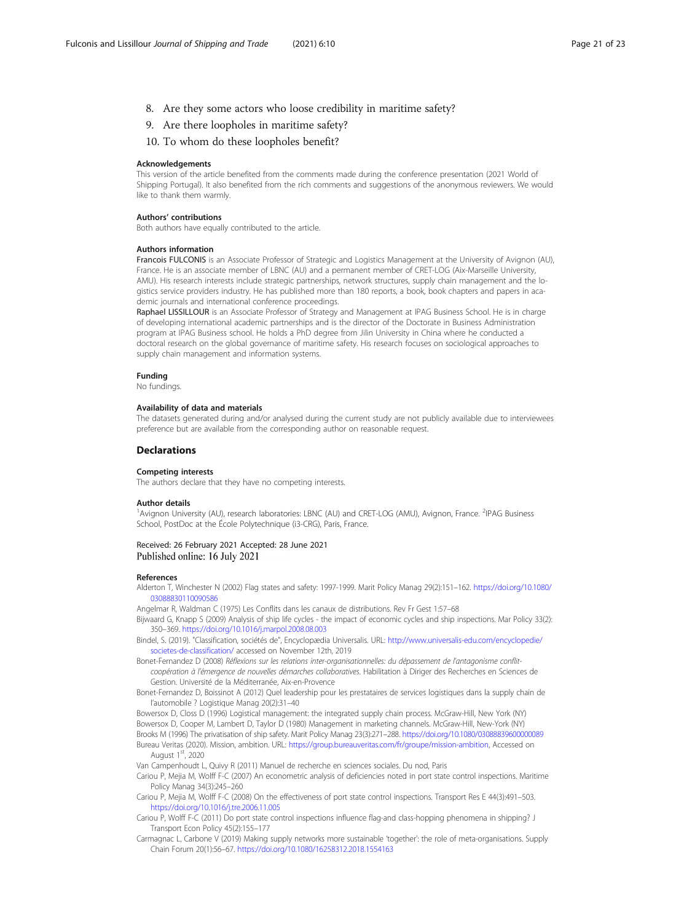- <span id="page-20-0"></span>8. Are they some actors who loose credibility in maritime safety?
- 9. Are there loopholes in maritime safety?
- 10. To whom do these loopholes benefit?

#### Acknowledgements

This version of the article benefited from the comments made during the conference presentation (2021 World of Shipping Portugal). It also benefited from the rich comments and suggestions of the anonymous reviewers. We would like to thank them warmly.

#### Authors' contributions

Both authors have equally contributed to the article.

#### Authors information

Francois FULCONIS is an Associate Professor of Strategic and Logistics Management at the University of Avignon (AU), France. He is an associate member of LBNC (AU) and a permanent member of CRET-LOG (Aix-Marseille University, AMU). His research interests include strategic partnerships, network structures, supply chain management and the logistics service providers industry. He has published more than 180 reports, a book, book chapters and papers in academic journals and international conference proceedings.

Raphael LISSILLOUR is an Associate Professor of Strategy and Management at IPAG Business School. He is in charge of developing international academic partnerships and is the director of the Doctorate in Business Administration program at IPAG Business school. He holds a PhD degree from Jilin University in China where he conducted a doctoral research on the global governance of maritime safety. His research focuses on sociological approaches to supply chain management and information systems.

#### Funding

No fundings.

#### Availability of data and materials

The datasets generated during and/or analysed during the current study are not publicly available due to interviewees preference but are available from the corresponding author on reasonable request.

#### Declarations

#### Competing interests

The authors declare that they have no competing interests.

#### Author details

<sup>1</sup> Avignon University (AU), research laboratories: LBNC (AU) and CRET-LOG (AMU), Avignon, France. <sup>2</sup>IPAG Business School, PostDoc at the École Polytechnique (i3-CRG), Paris, France.

#### Received: 26 February 2021 Accepted: 28 June 2021 Published online: 16 July 2021

#### References

Alderton T, Winchester N (2002) Flag states and safety: 1997-1999. Marit Policy Manag 29(2):151–162. [https://doi.org/10.1080/](https://doi.org/10.1080/03088830110090586) [03088830110090586](https://doi.org/10.1080/03088830110090586)

Angelmar R, Waldman C (1975) Les Conflits dans les canaux de distributions. Rev Fr Gest 1:57–68

- Bijwaard G, Knapp S (2009) Analysis of ship life cycles the impact of economic cycles and ship inspections. Mar Policy 33(2): 350–369. <https://doi.org/10.1016/j.marpol.2008.08.003>
- Bindel, S. (2019). "Classification, sociétés de", Encyclopædia Universalis. URL: [http://www.universalis-edu.com/encyclopedie/](http://www.universalis-edu.com/encyclopedie/societes-de-classification/) [societes-de-classification/](http://www.universalis-edu.com/encyclopedie/societes-de-classification/) accessed on November 12th, 2019
- Bonet-Fernandez D (2008) Réflexions sur les relations inter-organisationnelles: du dépassement de l'antagonisme conflitcoopération à l'émergence de nouvelles démarches collaboratives. Habilitation à Diriger des Recherches en Sciences de Gestion. Université de la Méditerranée, Aix-en-Provence
- Bonet-Fernandez D, Boissinot A (2012) Quel leadership pour les prestataires de services logistiques dans la supply chain de l'automobile ? Logistique Manag 20(2):31–40

Bowersox D, Closs D (1996) Logistical management: the integrated supply chain process. McGraw-Hill, New York (NY) Bowersox D, Cooper M, Lambert D, Taylor D (1980) Management in marketing channels. McGraw-Hill, New-York (NY) Brooks M (1996) The privatisation of ship safety. Marit Policy Manag 23(3):271–288. <https://doi.org/10.1080/03088839600000089> Bureau Veritas (2020). Mission, ambition. URL: [https://group.bureauveritas.com/fr/groupe/mission-ambition,](https://group.bureauveritas.com/fr/groupe/mission-ambition) Accessed on August 1st, 2020

Van Campenhoudt L, Quivy R (2011) Manuel de recherche en sciences sociales. Du nod, Paris

Cariou P, Mejia M, Wolff F-C (2007) An econometric analysis of deficiencies noted in port state control inspections. Maritime Policy Manag 34(3):245–260

Cariou P, Mejia M, Wolff F-C (2008) On the effectiveness of port state control inspections. Transport Res E 44(3):491–503. <https://doi.org/10.1016/j.tre.2006.11.005>

Cariou P, Wolff F-C (2011) Do port state control inspections influence flag-and class-hopping phenomena in shipping? J Transport Econ Policy 45(2):155–177

Carmagnac L, Carbone V (2019) Making supply networks more sustainable 'together': the role of meta-organisations. Supply Chain Forum 20(1):56–67. <https://doi.org/10.1080/16258312.2018.1554163>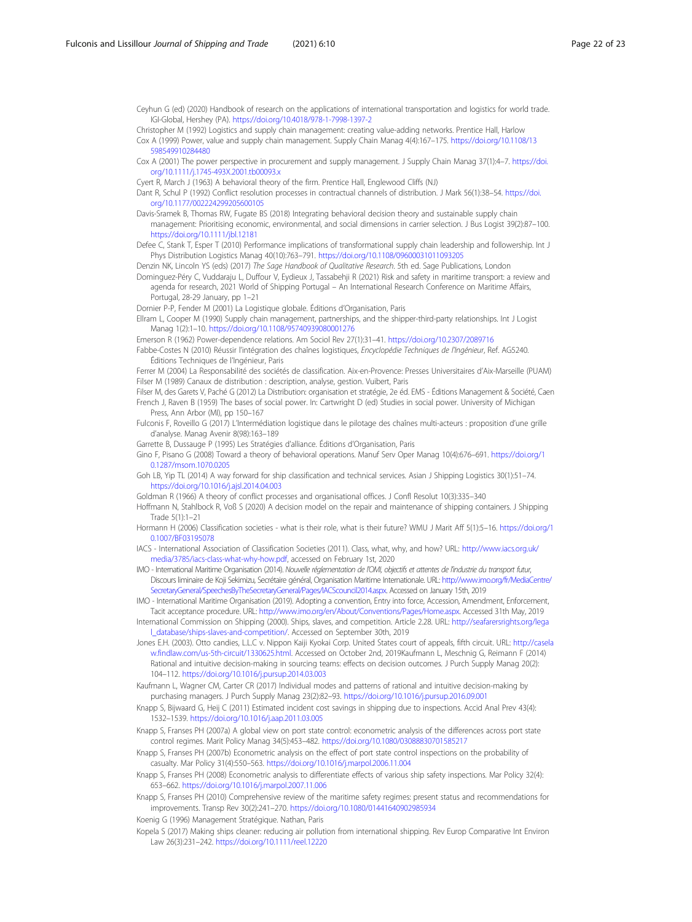<span id="page-21-0"></span>Ceyhun G (ed) (2020) Handbook of research on the applications of international transportation and logistics for world trade. IGI-Global, Hershey (PA). <https://doi.org/10.4018/978-1-7998-1397-2>

Christopher M (1992) Logistics and supply chain management: creating value-adding networks. Prentice Hall, Harlow Cox A (1999) Power, value and supply chain management. Supply Chain Manag 4(4):167–175. [https://doi.org/10.1108/13](https://doi.org/10.1108/13598549910284480) [598549910284480](https://doi.org/10.1108/13598549910284480)

Cox A (2001) The power perspective in procurement and supply management. J Supply Chain Manag 37(1):4–7. [https://doi.](https://doi.org/10.1111/j.1745-493X.2001.tb00093.x) [org/10.1111/j.1745-493X.2001.tb00093.x](https://doi.org/10.1111/j.1745-493X.2001.tb00093.x)

Cyert R, March J (1963) A behavioral theory of the firm. Prentice Hall, Englewood Cliffs (NJ)

Dant R, Schul P (1992) Conflict resolution processes in contractual channels of distribution. J Mark 56(1):38–54. [https://doi.](https://doi.org/10.1177/002224299205600105) [org/10.1177/002224299205600105](https://doi.org/10.1177/002224299205600105)

Davis-Sramek B, Thomas RW, Fugate BS (2018) Integrating behavioral decision theory and sustainable supply chain management: Prioritising economic, environmental, and social dimensions in carrier selection. J Bus Logist 39(2):87–100. <https://doi.org/10.1111/jbl.12181>

Defee C, Stank T, Esper T (2010) Performance implications of transformational supply chain leadership and followership. Int J Phys Distribution Logistics Manag 40(10):763–791. <https://doi.org/10.1108/09600031011093205>

Denzin NK, Lincoln YS (eds) (2017) The Sage Handbook of Qualitative Research. 5th ed. Sage Publications, London

Dominguez-Péry C, Vuddaraju L, Duffour V, Eydieux J, Tassabehji R (2021) Risk and safety in maritime transport: a review and agenda for research, 2021 World of Shipping Portugal – An International Research Conference on Maritime Affairs, Portugal, 28-29 January, pp 1–21

Dornier P-P, Fender M (2001) La Logistique globale. Éditions d'Organisation, Paris

Ellram L, Cooper M (1990) Supply chain management, partnerships, and the shipper-third-party relationships. Int J Logist Manag 1(2):1–10. <https://doi.org/10.1108/95740939080001276>

Emerson R (1962) Power-dependence relations. Am Sociol Rev 27(1):31–41. <https://doi.org/10.2307/2089716>

Fabbe-Costes N (2010) Réussir l'intégration des chaînes logistiques, Encyclopédie Techniques de l'Ingénieur, Ref. AG5240. Éditions Techniques de l'Ingénieur, Paris

Ferrer M (2004) La Responsabilité des sociétés de classification. Aix-en-Provence: Presses Universitaires d'Aix-Marseille (PUAM) Filser M (1989) Canaux de distribution : description, analyse, gestion. Vuibert, Paris

Filser M, des Garets V, Paché G (2012) La Distribution: organisation et stratégie, 2e éd. EMS - Éditions Management & Société, Caen French J, Raven B (1959) The bases of social power. In: Cartwright D (ed) Studies in social power. University of Michigan Press, Ann Arbor (MI), pp 150–167

Fulconis F, Roveillo G (2017) L'Intermédiation logistique dans le pilotage des chaînes multi-acteurs : proposition d'une grille d'analyse. Manag Avenir 8(98):163–189

Garrette B, Dussauge P (1995) Les Stratégies d'alliance. Éditions d'Organisation, Paris

Gino F, Pisano G (2008) Toward a theory of behavioral operations. Manuf Serv Oper Manag 10(4):676–691. [https://doi.org/1](https://doi.org/10.1287/msom.1070.0205) [0.1287/msom.1070.0205](https://doi.org/10.1287/msom.1070.0205)

Goh LB, Yip TL (2014) A way forward for ship classification and technical services. Asian J Shipping Logistics 30(1):51–74. <https://doi.org/10.1016/j.ajsl.2014.04.003>

Goldman R (1966) A theory of conflict processes and organisational offices. J Confl Resolut 10(3):335–340

Hoffmann N, Stahlbock R, Voß S (2020) A decision model on the repair and maintenance of shipping containers. J Shipping Trade 5(1):1–21

Hormann H (2006) Classification societies - what is their role, what is their future? WMU J Marit Aff 5(1):5–16. [https://doi.org/1](https://doi.org/10.1007/BF03195078) [0.1007/BF03195078](https://doi.org/10.1007/BF03195078)

IACS - International Association of Classification Societies (2011). Class, what, why, and how? URL: [http://www.iacs.org.uk/](http://www.iacs.org.uk/media/3785/iacs-class-what-why-how.pdf) [media/3785/iacs-class-what-why-how.pdf](http://www.iacs.org.uk/media/3785/iacs-class-what-why-how.pdf), accessed on February 1st, 2020

IMO - International Maritime Organisation (2014). Nouvelle réglementation de l'OMI, objectifs et attentes de l'industrie du transport futur, Discours liminaire de Koji Sekimizu, Secrétaire général, Organisation Maritime Internationale. URL: [http://www.imo.org/fr/MediaCentre/](http://www.imo.org/fr/MediaCentre/SecretaryGeneral/SpeechesByTheSecretaryGeneral/Pages/IACScouncil2014.aspx) [SecretaryGeneral/SpeechesByTheSecretaryGeneral/Pages/IACScouncil2014.aspx](http://www.imo.org/fr/MediaCentre/SecretaryGeneral/SpeechesByTheSecretaryGeneral/Pages/IACScouncil2014.aspx). Accessed on January 15th, 2019

IMO - International Maritime Organisation (2019). Adopting a convention, Entry into force, Accession, Amendment, Enforcement, Tacit acceptance procedure. URL: <http://www.imo.org/en/About/Conventions/Pages/Home.aspx>. Accessed 31th May, 2019

International Commission on Shipping (2000). Ships, slaves, and competition. Article 2.28. URL: [http://seafarersrights.org/lega](http://seafarersrights.org/legal_database/ships-slaves-and-competition/) [l\\_database/ships-slaves-and-competition/.](http://seafarersrights.org/legal_database/ships-slaves-and-competition/) Accessed on September 30th, 2019

Jones E.H. (2003). Otto candies, L.L.C v. Nippon Kaiji Kyokai Corp. United States court of appeals, fifth circuit. URL: [http://casela](http://caselaw.findlaw.com/us-5th-circuit/1330625.html) [w.findlaw.com/us-5th-circuit/1330625.html.](http://caselaw.findlaw.com/us-5th-circuit/1330625.html) Accessed on October 2nd, 2019Kaufmann L, Meschnig G, Reimann F (2014) Rational and intuitive decision-making in sourcing teams: effects on decision outcomes. J Purch Supply Manag 20(2): 104–112. <https://doi.org/10.1016/j.pursup.2014.03.003>

Kaufmann L, Wagner CM, Carter CR (2017) Individual modes and patterns of rational and intuitive decision-making by purchasing managers. J Purch Supply Manag 23(2):82–93. <https://doi.org/10.1016/j.pursup.2016.09.001>

Knapp S, Bijwaard G, Heij C (2011) Estimated incident cost savings in shipping due to inspections. Accid Anal Prev 43(4): 1532–1539. <https://doi.org/10.1016/j.aap.2011.03.005>

Knapp S, Franses PH (2007a) A global view on port state control: econometric analysis of the differences across port state control regimes. Marit Policy Manag 34(5):453–482. <https://doi.org/10.1080/03088830701585217>

Knapp S, Franses PH (2007b) Econometric analysis on the effect of port state control inspections on the probability of casualty. Mar Policy 31(4):550–563. <https://doi.org/10.1016/j.marpol.2006.11.004>

Knapp S, Franses PH (2008) Econometric analysis to differentiate effects of various ship safety inspections. Mar Policy 32(4): 653–662. <https://doi.org/10.1016/j.marpol.2007.11.006>

Knapp S, Franses PH (2010) Comprehensive review of the maritime safety regimes: present status and recommendations for improvements. Transp Rev 30(2):241–270. <https://doi.org/10.1080/01441640902985934>

Koenig G (1996) Management Stratégique. Nathan, Paris

Kopela S (2017) Making ships cleaner: reducing air pollution from international shipping. Rev Europ Comparative Int Environ Law 26(3):231–242. <https://doi.org/10.1111/reel.12220>